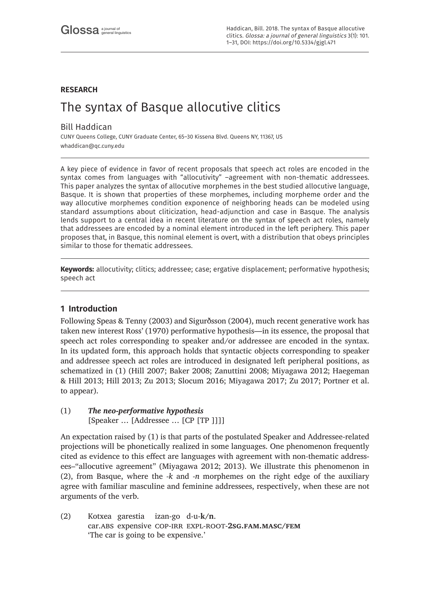## **RESEARCH**

# The syntax of Basque allocutive clitics

## Bill Haddican

CUNY Queens College, CUNY Graduate Center, 65–30 Kissena Blvd. Queens NY, 11367, US [whaddican@qc.cuny.edu](mailto:whaddican@qc.cuny.edu)

A key piece of evidence in favor of recent proposals that speech act roles are encoded in the syntax comes from languages with "allocutivity" –agreement with non-thematic addressees. This paper analyzes the syntax of allocutive morphemes in the best studied allocutive language, Basque. It is shown that properties of these morphemes, including morpheme order and the way allocutive morphemes condition exponence of neighboring heads can be modeled using standard assumptions about cliticization, head-adjunction and case in Basque. The analysis lends support to a central idea in recent literature on the syntax of speech act roles, namely that addressees are encoded by a nominal element introduced in the left periphery. This paper proposes that, in Basque, this nominal element is overt, with a distribution that obeys principles similar to those for thematic addressees.

**Keywords:** allocutivity; clitics; addressee; case; ergative displacement; performative hypothesis; speech act

## **1 Introduction**

Following Speas & Tenny (2003) and Sigurðsson (2004), much recent generative work has taken new interest Ross' (1970) performative hypothesis—in its essence, the proposal that speech act roles corresponding to speaker and/or addressee are encoded in the syntax. In its updated form, this approach holds that syntactic objects corresponding to speaker and addressee speech act roles are introduced in designated left peripheral positions, as schematized in (1) (Hill 2007; Baker 2008; Zanuttini 2008; Miyagawa 2012; Haegeman & Hill 2013; Hill 2013; Zu 2013; Slocum 2016; Miyagawa 2017; Zu 2017; Portner et al. to appear).

# (1) *The neo-performative hypothesis*

[Speaker … [Addressee … [CP [TP ]]]]

An expectation raised by (1) is that parts of the postulated Speaker and Addressee-related projections will be phonetically realized in some languages. One phenomenon frequently cited as evidence to this effect are languages with agreement with non-thematic addressees–"allocutive agreement" (Miyagawa 2012; 2013). We illustrate this phenomenon in (2), from Basque, where the *-k* and *-n* morphemes on the right edge of the auxiliary agree with familiar masculine and feminine addressees, respectively, when these are not arguments of the verb.

(2) Kotxea garestia izan-go d-u-**k/n**. car.abs expensive cop-irr expl-root-**2sg.fam.masc/fem** 'The car is going to be expensive.'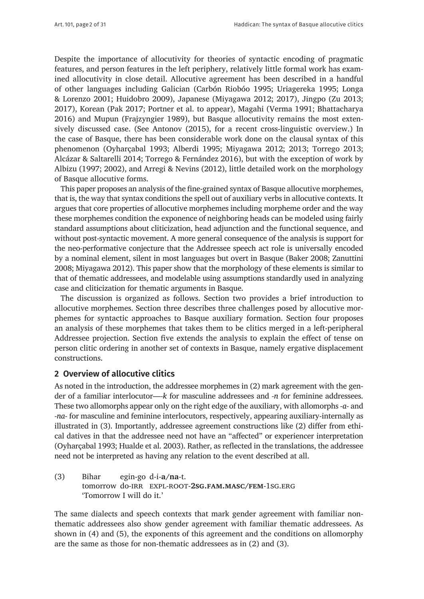Despite the importance of allocutivity for theories of syntactic encoding of pragmatic features, and person features in the left periphery, relatively little formal work has examined allocutivity in close detail. Allocutive agreement has been described in a handful of other languages including Galician (Carbón Riobóo 1995; Uriagereka 1995; Longa & Lorenzo 2001; Huidobro 2009), Japanese (Miyagawa 2012; 2017), Jingpo (Zu 2013; 2017), Korean (Pak 2017; Portner et al. to appear), Magahi (Verma 1991; Bhattacharya 2016) and Mupun (Frajzyngier 1989), but Basque allocutivity remains the most extensively discussed case. (See Antonov (2015), for a recent cross-linguistic overview.) In the case of Basque, there has been considerable work done on the clausal syntax of this phenomenon (Oyharçabal 1993; Alberdi 1995; Miyagawa 2012; 2013; Torrego 2013; Alcázar & Saltarelli 2014; Torrego & Fernández 2016), but with the exception of work by Albizu (1997; 2002), and Arregi & Nevins (2012), little detailed work on the morphology of Basque allocutive forms.

This paper proposes an analysis of the fine-grained syntax of Basque allocutive morphemes, that is, the way that syntax conditions the spell out of auxiliary verbs in allocutive contexts. It argues that core properties of allocutive morphemes including morpheme order and the way these morphemes condition the exponence of neighboring heads can be modeled using fairly standard assumptions about cliticization, head adjunction and the functional sequence, and without post-syntactic movement. A more general consequence of the analysis is support for the neo-performative conjecture that the Addressee speech act role is universally encoded by a nominal element, silent in most languages but overt in Basque (Baker 2008; Zanuttini 2008; Miyagawa 2012). This paper show that the morphology of these elements is similar to that of thematic addressees, and modelable using assumptions standardly used in analyzing case and cliticization for thematic arguments in Basque.

The discussion is organized as follows. Section two provides a brief introduction to allocutive morphemes. Section three describes three challenges posed by allocutive morphemes for syntactic approaches to Basque auxiliary formation. Section four proposes an analysis of these morphemes that takes them to be clitics merged in a left-peripheral Addressee projection. Section five extends the analysis to explain the effect of tense on person clitic ordering in another set of contexts in Basque, namely ergative displacement constructions.

### **2 Overview of allocutive clitics**

As noted in the introduction, the addressee morphemes in (2) mark agreement with the gender of a familiar interlocutor—*-k* for masculine addressees and *-n* for feminine addressees. These two allomorphs appear only on the right edge of the auxiliary, with allomorphs *-a-* and *-na-* for masculine and feminine interlocutors, respectively, appearing auxiliary-internally as illustrated in (3). Importantly, addressee agreement constructions like (2) differ from ethical datives in that the addressee need not have an "affected" or experiencer interpretation (Oyharçabal 1993; Hualde et al. 2003). Rather, as reflected in the translations, the addressee need not be interpreted as having any relation to the event described at all.

(3) Bihar egin-go d-i-**a/na**-t. tomorrow do-irr expl-root-**2sg.fam.masc/fem**-1sg.erg 'Tomorrow I will do it.'

The same dialects and speech contexts that mark gender agreement with familiar nonthematic addressees also show gender agreement with familiar thematic addressees. As shown in (4) and (5), the exponents of this agreement and the conditions on allomorphy are the same as those for non-thematic addressees as in (2) and (3).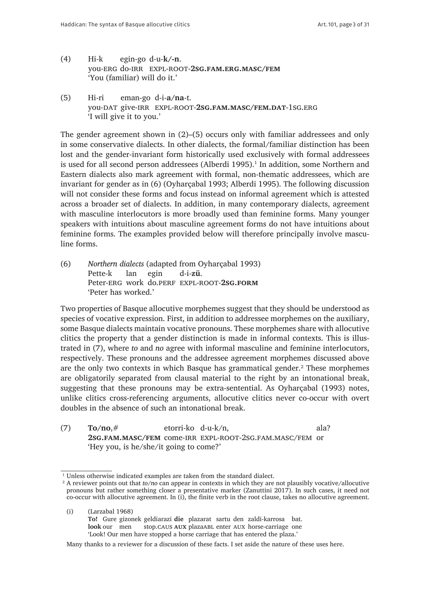- (4) Hi-k egin-go d-u-**k/-n**. you-erg do-irr expl-root-**2sg.fam.erg.masc/fem** 'You (familiar) will do it.'
- (5) Hi-ri eman-go d-i-**a/na**-t. you-dat give-irr expl-root-**2sg.fam.masc/fem.dat**-1sg.erg 'I will give it to you.'

The gender agreement shown in (2)–(5) occurs only with familiar addressees and only in some conservative dialects. In other dialects, the formal/familiar distinction has been lost and the gender-invariant form historically used exclusively with formal addressees is used for all second person addressees (Alberdi 1995). $^1$  In addition, some Northern and Eastern dialects also mark agreement with formal, non-thematic addressees, which are invariant for gender as in (6) (Oyharçabal 1993; Alberdi 1995). The following discussion will not consider these forms and focus instead on informal agreement which is attested across a broader set of dialects. In addition, in many contemporary dialects, agreement with masculine interlocutors is more broadly used than feminine forms. Many younger speakers with intuitions about masculine agreement forms do not have intuitions about feminine forms. The examples provided below will therefore principally involve masculine forms.

(6) *Northern dialects* (adapted from Oyharçabal 1993) Pette-k lan egin d-i-**zü**. Peter-erg work do.perf expl-root-**2sg.form** 'Peter has worked.'

Two properties of Basque allocutive morphemes suggest that they should be understood as species of vocative expression. First, in addition to addressee morphemes on the auxiliary, some Basque dialects maintain vocative pronouns. These morphemes share with allocutive clitics the property that a gender distinction is made in informal contexts. This is illustrated in (7), where *to* and *no* agree with informal masculine and feminine interlocutors, respectively. These pronouns and the addressee agreement morphemes discussed above are the only two contexts in which Basque has grammatical gender.<sup>2</sup> These morphemes are obligatorily separated from clausal material to the right by an intonational break, suggesting that these pronouns may be extra-sentential. As Oyharçabal (1993) notes, unlike clitics cross-referencing arguments, allocutive clitics never co-occur with overt doubles in the absence of such an intonational break.

(7) **To/no**,# etorri-ko d-u-k/n, ala? **2sg.fam.masc/fem** come-irr expl-root-2sg.fam.masc/fem or 'Hey you, is he/she/it going to come?'

(i) (Larzabal 1968) **To!** Gure gizonek geldiarazi **die** plazarat sartu den zaldi-karrosa bat. **look** our men stop.CAUS AUX plazaABL enter AUX horse-carriage one 'Look! Our men have stopped a horse carriage that has entered the plaza.'

Many thanks to a reviewer for a discussion of these facts. I set aside the nature of these uses here.

<sup>&</sup>lt;sup>1</sup> Unless otherwise indicated examples are taken from the standard dialect.

<sup>2</sup> A reviewer points out that *to/no* can appear in contexts in which they are not plausibly vocative/allocutive pronouns but rather something closer a presentative marker (Zanuttini 2017). In such cases, it need not co-occur with allocutive agreement. In (i), the finite verb in the root clause, takes no allocutive agreement.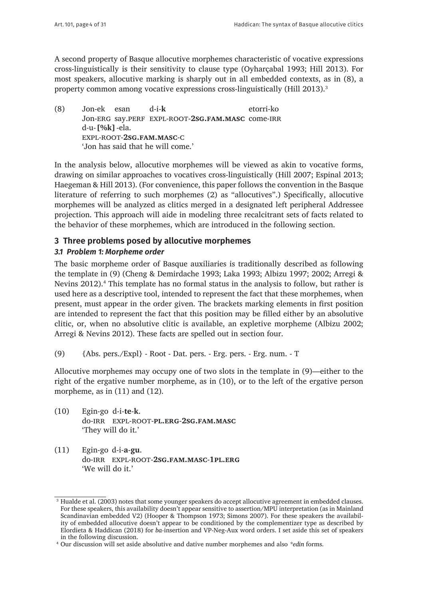A second property of Basque allocutive morphemes characteristic of vocative expressions cross-linguistically is their sensitivity to clause type (Oyharçabal 1993; Hill 2013). For most speakers, allocutive marking is sharply out in all embedded contexts, as in (8), a property common among vocative expressions cross-linguistically (Hill 2013).<sup>3</sup>

(8) Jon-ek esan d-i-**k** etorri-ko Jon-erg say.perf expl-root-**2sg.fam.masc** come-irr d-u-**[%k]**-ela. expl-root-**2sg.fam.masc**-c 'Jon has said that he will come.'

In the analysis below, allocutive morphemes will be viewed as akin to vocative forms, drawing on similar approaches to vocatives cross-linguistically (Hill 2007; Espinal 2013; Haegeman & Hill 2013). (For convenience, this paper follows the convention in the Basque literature of referring to such morphemes (2) as "allocutives".) Specifically, allocutive morphemes will be analyzed as clitics merged in a designated left peripheral Addressee projection. This approach will aide in modeling three recalcitrant sets of facts related to the behavior of these morphemes, which are introduced in the following section.

## **3 Three problems posed by allocutive morphemes**

## *3.1 Problem 1: Morpheme order*

The basic morpheme order of Basque auxiliaries is traditionally described as following the template in (9) (Cheng & Demirdache 1993; Laka 1993; Albizu 1997; 2002; Arregi & Nevins 2012).<sup>4</sup> This template has no formal status in the analysis to follow, but rather is used here as a descriptive tool, intended to represent the fact that these morphemes, when present, must appear in the order given. The brackets marking elements in first position are intended to represent the fact that this position may be filled either by an absolutive clitic, or, when no absolutive clitic is available, an expletive morpheme (Albizu 2002; Arregi & Nevins 2012). These facts are spelled out in section four.

(9) {Abs. pers./Expl} - Root - Dat. pers. - Erg. pers. - Erg. num. - T

Allocutive morphemes may occupy one of two slots in the template in (9)—either to the right of the ergative number morpheme, as in (10), or to the left of the ergative person morpheme, as in  $(11)$  and  $(12)$ .

- (10) Egin-go d-i-**te**-**k**. do-irr expl-root-**pl.erg**-**2sg.fam.masc** 'They will do it.'
- (11) Egin-go d-i-**a**-**gu**. do-irr expl-root-**2sg.fam.masc**-**1pl.erg** 'We will do it.'

<sup>&</sup>lt;sup>3</sup> Hualde et al. (2003) notes that some younger speakers do accept allocutive agreement in embedded clauses. For these speakers, this availability doesn't appear sensitive to assertion/MPU interpretation (as in Mainland Scandinavian embedded V2) (Hooper & Thompson 1973; Simons 2007). For these speakers the availability of embedded allocutive doesn't appear to be conditioned by the complementizer type as described by Elordieta & Haddican (2018) for *ba-*insertion and VP-Neg-Aux word orders. I set aside this set of speakers in the following discussion.

<sup>4</sup> Our discussion will set aside absolutive and dative number morphemes and also *\*edin* forms.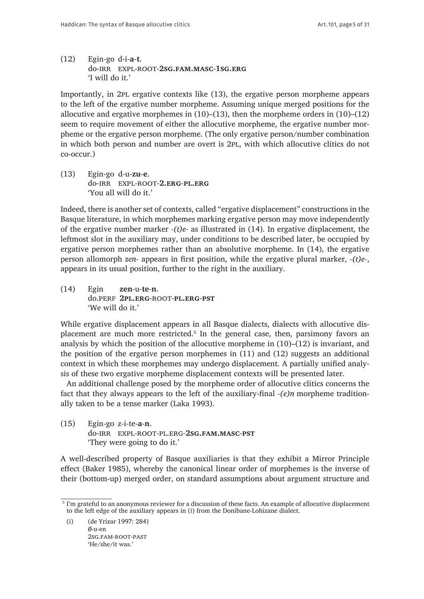(12) Egin-go d-i-**a**-**t**. do-irr expl-root-**2sg.fam.masc**-**1sg.erg** 'I will do it.'

Importantly, in 2pl ergative contexts like (13), the ergative person morpheme appears to the left of the ergative number morpheme. Assuming unique merged positions for the allocutive and ergative morphemes in (10)–(13), then the morpheme orders in (10)–(12) seem to require movement of either the allocutive morpheme, the ergative number morpheme or the ergative person morpheme. (The only ergative person/number combination in which both person and number are overt is 2pl, with which allocutive clitics do not co-occur.)

(13) Egin-go d-u-**zu**-**e**. do-irr expl-root-**2.erg**-**pl.erg** 'You all will do it.'

Indeed, there is another set of contexts, called "ergative displacement" constructions in the Basque literature, in which morphemes marking ergative person may move independently of the ergative number marker *-(t)e-* as illustrated in (14). In ergative displacement, the leftmost slot in the auxiliary may, under conditions to be described later, be occupied by ergative person morphemes rather than an absolutive morpheme. In (14), the ergative person allomorph *zen-* appears in first position, while the ergative plural marker, *-(t)e-*, appears in its usual position, further to the right in the auxiliary.

(14) Egin **zen**-u-**te**-**n**. do.perf **2pl.erg**-root-**pl.erg**-**pst** 'We will do it.'

While ergative displacement appears in all Basque dialects, dialects with allocutive displacement are much more restricted.<sup>5</sup> In the general case, then, parsimony favors an analysis by which the position of the allocutive morpheme in (10)–(12) is invariant, and the position of the ergative person morphemes in (11) and (12) suggests an additional context in which these morphemes may undergo displacement. A partially unified analysis of these two ergative morpheme displacement contexts will be presented later.

An additional challenge posed by the morpheme order of allocutive clitics concerns the fact that they always appears to the left of the auxiliary-final *-(e)n* morpheme traditionally taken to be a tense marker (Laka 1993).

(15) Egin-go z-i-te-**a**-**n**. do-irr expl-root-pl.erg-**2sg.fam.masc**-**pst** 'They were going to do it.'

A well-described property of Basque auxiliaries is that they exhibit a Mirror Principle effect (Baker 1985), whereby the canonical linear order of morphemes is the inverse of their (bottom-up) merged order, on standard assumptions about argument structure and

(i) (de Yrizar 1997: 284) ∅-u-en 2sg.fam-root-past 'He/she/it was.'

<sup>5</sup> I'm grateful to an anonymous reviewer for a discussion of these facts. An example of allocutive displacement to the left edge of the auxiliary appears in (i) from the Donibane-Lohizane dialect.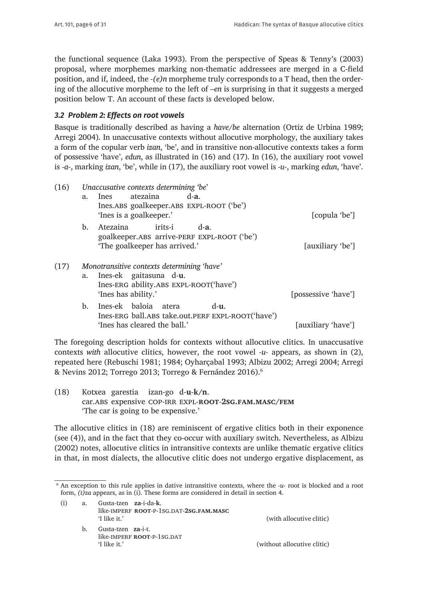the functional sequence (Laka 1993). From the perspective of Speas & Tenny's (2003) proposal, where morphemes marking non-thematic addressees are merged in a C-field position, and if, indeed, the *-(e)n* morpheme truly corresponds to a T head, then the ordering of the allocutive morpheme to the left of *–en* is surprising in that it suggests a merged position below T. An account of these facts is developed below.

## *3.2 Problem 2: Effects on root vowels*

Basque is traditionally described as having a *have/be* alternation (Ortiz de Urbina 1989; Arregi 2004). In unaccusative contexts without allocutive morphology, the auxiliary takes a form of the copular verb *izan*, 'be', and in transitive non-allocutive contexts takes a form of possessive 'have', *edun*, as illustrated in (16) and (17). In (16), the auxiliary root vowel is *-a-*, marking *izan*, 'be', while in (17), the auxiliary root vowel is *-u-*, marking *edun*, 'have'.

| (16) | Unaccusative contexts determining 'be' |                                                   |                     |
|------|----------------------------------------|---------------------------------------------------|---------------------|
|      | a.                                     | atezaina<br>$d-a$ .<br>Ines                       |                     |
|      |                                        | Ines.ABS goalkeeper.ABS EXPL-ROOT ('be')          |                     |
|      |                                        | 'Ines is a goalkeeper.'                           | [copula 'be']       |
|      | b.                                     | irits-i<br>Atezaina<br>$d-a$ .                    |                     |
|      |                                        | goalkeeper.ABS arrive-PERF EXPL-ROOT ('be')       |                     |
|      |                                        | 'The goalkeeper has arrived.'                     | [auxiliary 'be']    |
|      |                                        |                                                   |                     |
| (17) |                                        | Monotransitive contexts determining 'have'        |                     |
|      | a.                                     | Ines-ek gaitasuna d-u.                            |                     |
|      |                                        | Ines-ERG ability.ABS EXPL-ROOT('have')            |                     |
|      |                                        | 'Ines has ability.'                               | [possessive 'have'] |
|      | b.                                     | Ines-ek baloia<br>$d-11$ .<br>atera               |                     |
|      |                                        | Ines-ERG ball.ABS take.out.PERF EXPL-ROOT('have') |                     |
|      |                                        | 'Ines has cleared the ball.'                      | [auxiliary 'have']  |

The foregoing description holds for contexts without allocutive clitics. In unaccusative contexts *with* allocutive clitics, however, the root vowel *-u-* appears, as shown in (2), repeated here (Rebuschi 1981; 1984; Oyharçabal 1993; Albizu 2002; Arregi 2004; Arregi & Nevins 2012; Torrego 2013; Torrego & Fernández 2016).6

(18) Kotxea garestia izan-go d-**u**-**k/n**. car.abs expensive cop-irr expl-**root**-**2sg.fam.masc/fem** 'The car is going to be expensive.'

The allocutive clitics in (18) are reminiscent of ergative clitics both in their exponence (see (4)), and in the fact that they co-occur with auxiliary switch. Nevertheless, as Albizu (2002) notes, allocutive clitics in intransitive contexts are unlike thematic ergative clitics in that, in most dialects, the allocutive clitic does not undergo ergative displacement, as

<sup>6</sup> An exception to this rule applies in dative intransitive contexts, where the *-u-* root is blocked and a root form, *(t)za* appears, as in (i). These forms are considered in detail in section 4.

| (i) | a. | Gusta-tzen za-i-da-k. |                                         |
|-----|----|-----------------------|-----------------------------------------|
|     |    | 'I like it.'          | like-IMPERF ROOT-P-1SG.DAT-2SG.FAM.MASC |
|     |    |                       |                                         |

b. Gusta-tzen **za**-i-t. like-IMPERF **ROOT-P-1SG.DAT** 'I like it.' (without allocutive clitic)

(with allocutive clitic)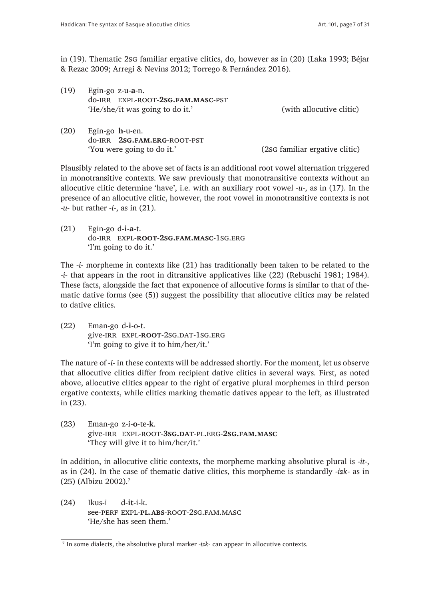in (19). Thematic 2sg familiar ergative clitics, do, however as in (20) (Laka 1993; Béjar & Rezac 2009; Arregi & Nevins 2012; Torrego & Fernández 2016).

| (19) | Egin-go $z$ -u-a-n.<br>do-IRR EXPL-ROOT-2SG.FAM.MASC-PST<br>'He/she/it was going to do it.' | (with allocutive clitic)       |
|------|---------------------------------------------------------------------------------------------|--------------------------------|
| (20) | Egin-go h-u-en.<br>do-IRR 2SG.FAM.ERG-ROOT-PST<br>'You were going to do it.'                | (2sG familiar ergative clitic) |

Plausibly related to the above set of facts is an additional root vowel alternation triggered in monotransitive contexts. We saw previously that monotransitive contexts without an allocutive clitic determine 'have', i.e. with an auxiliary root vowel *-u-*, as in (17). In the presence of an allocutive clitic, however, the root vowel in monotransitive contexts is not *-u-* but rather *-i-*, as in (21).

(21) Egin-go d-**i**-**a**-t. do-irr expl-**root**-**2sg.fam.masc**-1sg.erg 'I'm going to do it.'

The *-i-* morpheme in contexts like (21) has traditionally been taken to be related to the *-i-* that appears in the root in ditransitive applicatives like (22) (Rebuschi 1981; 1984). These facts, alongside the fact that exponence of allocutive forms is similar to that of thematic dative forms (see (5)) suggest the possibility that allocutive clitics may be related to dative clitics.

(22) Eman-go d-**i**-o-t. give-irr expl-**root**-2sg.dat-1sg.erg 'I'm going to give it to him/her/it.'

The nature of *-i-* in these contexts will be addressed shortly. For the moment, let us observe that allocutive clitics differ from recipient dative clitics in several ways. First, as noted above, allocutive clitics appear to the right of ergative plural morphemes in third person ergative contexts, while clitics marking thematic datives appear to the left, as illustrated in (23).

(23) Eman-go z-i-**o**-te-**k**. give-irr expl-root-**3sg.dat**-pl.erg-**2sg.fam.masc** 'They will give it to him/her/it.'

In addition, in allocutive clitic contexts, the morpheme marking absolutive plural is *-it-*, as in (24). In the case of thematic dative clitics, this morpheme is standardly *-izk-* as in (25) (Albizu 2002).7

(24) Ikus-i d-**it**-i-k. see-perf expl-**pl.abs**-root-2sg.fam.masc 'He/she has seen them.'

<sup>7</sup> In some dialects, the absolutive plural marker *-izk-* can appear in allocutive contexts.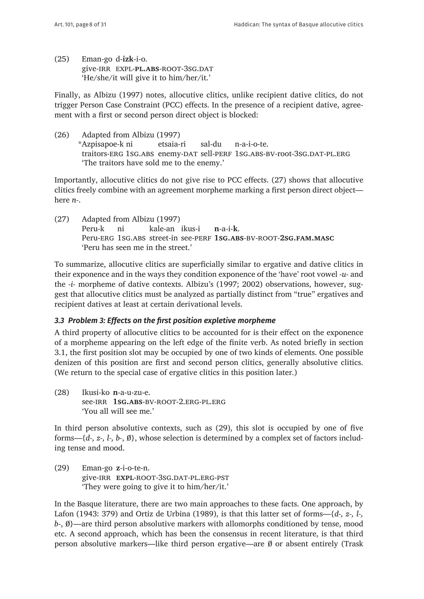(25) Eman-go d-**izk**-i-o. give-irr expl-**pl.abs**-root-3sg.dat 'He/she/it will give it to him/her/it.'

Finally, as Albizu (1997) notes, allocutive clitics, unlike recipient dative clitics, do not trigger Person Case Constraint (PCC) effects. In the presence of a recipient dative, agreement with a first or second person direct object is blocked:

(26) Adapted from Albizu (1997) \*Azpisapoe-k ni etsaia-ri sal-du n-a-i-o-te. traitors-ERG 1sG.ABS enemy-DAT sell-PERF 1sG.ABS-BV-root-3sG.DAT-PL.ERG 'The traitors have sold me to the enemy.'

Importantly, allocutive clitics do not give rise to PCC effects. (27) shows that allocutive clitics freely combine with an agreement morpheme marking a first person direct object here *n-*.

(27) Adapted from Albizu (1997) Peru-k ni kale-an ikus-i **n**-a-i-**k**. Peru-erg 1sg.abs street-in see-perf **1sg.abs**-bv-root-**2sg.fam.masc** 'Peru has seen me in the street.'

To summarize, allocutive clitics are superficially similar to ergative and dative clitics in their exponence and in the ways they condition exponence of the 'have' root vowel *-u-* and the *-i-* morpheme of dative contexts. Albizu's (1997; 2002) observations, however, suggest that allocutive clitics must be analyzed as partially distinct from "true" ergatives and recipient datives at least at certain derivational levels.

# *3.3 Problem 3: Effects on the first position expletive morpheme*

A third property of allocutive clitics to be accounted for is their effect on the exponence of a morpheme appearing on the left edge of the finite verb. As noted briefly in section 3.1, the first position slot may be occupied by one of two kinds of elements. One possible denizen of this position are first and second person clitics, generally absolutive clitics. (We return to the special case of ergative clitics in this position later.)

(28) Ikusi-ko **n**-a-u-zu-e. see-irr **1sg.abs**-bv-root-2.erg-pl.erg 'You all will see me.'

In third person absolutive contexts, such as (29), this slot is occupied by one of five forms—{*d-, z-, l-, b-*, ∅}, whose selection is determined by a complex set of factors including tense and mood.

(29) Eman-go **z**-i-o-te-n. give-irr **expl**-root-3sg.dat-pl.erg-pst 'They were going to give it to him/her/it.'

In the Basque literature, there are two main approaches to these facts. One approach, by Lafon (1943: 379) and Ortiz de Urbina (1989), is that this latter set of forms—{*d-, z-, l-, b*-,  $\emptyset$ }—are third person absolutive markers with allomorphs conditioned by tense, mood etc. A second approach, which has been the consensus in recent literature, is that third person absolutive markers—like third person ergative—are ∅ or absent entirely (Trask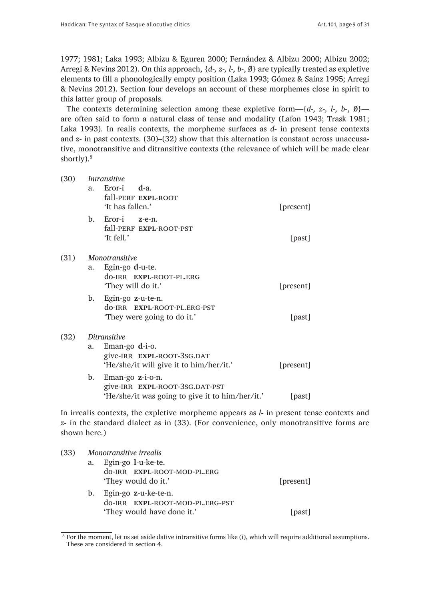1977; 1981; Laka 1993; Albizu & Eguren 2000; Fernández & Albizu 2000; Albizu 2002; Arregi & Nevins 2012). On this approach, {*d-, z-, l-, b-*, ∅} are typically treated as expletive elements to fill a phonologically empty position (Laka 1993; Gómez & Sainz 1995; Arregi & Nevins 2012). Section four develops an account of these morphemes close in spirit to this latter group of proposals.

The contexts determining selection among these expletive form—{*d-, z-, l-, b-*, ∅} are often said to form a natural class of tense and modality (Lafon 1943; Trask 1981; Laka 1993). In realis contexts, the morpheme surfaces as *d-* in present tense contexts and *z-* in past contexts. (30)–(32) show that this alternation is constant across unaccusative, monotransitive and ditransitive contexts (the relevance of which will be made clear shortly).<sup>8</sup>

| (30) | Intransitive |                                                                                                            |           |  |  |  |
|------|--------------|------------------------------------------------------------------------------------------------------------|-----------|--|--|--|
|      | a.           | Eror-i $d$ -a.<br>fall-PERF EXPL-ROOT<br>'It has fallen.'                                                  | [present] |  |  |  |
|      | b.           | Eror-i z-e-n.<br>fall-PERF EXPL-ROOT-PST<br>'It fell.'                                                     | [past]    |  |  |  |
| (31) | a.           | <i>Monotransitive</i><br>Egin-go d-u-te.<br>do-IRR EXPL-ROOT-PL.ERG<br>'They will do it.'                  | [present] |  |  |  |
|      | b.           | Egin-go z-u-te-n.<br>do-IRR EXPL-ROOT-PL.ERG-PST<br>'They were going to do it.'                            | [past]    |  |  |  |
| (32) | a.           | Ditransitive<br>Eman-go $d$ -i-o.<br>give-IRR EXPL-ROOT-3SG.DAT<br>'He/she/it will give it to him/her/it.' | [present] |  |  |  |
|      | b.           | Eman-go z-i-o-n.<br>give-IRR EXPL-ROOT-3SG.DAT-PST<br>'He/she/it was going to give it to him/her/it.'      | [past]    |  |  |  |

In irrealis contexts, the expletive morpheme appears as *l-* in present tense contexts and *z-* in the standard dialect as in (33). (For convenience, only monotransitive forms are shown here.)

| (33) | Monotransitive irrealis |                                                         |           |  |  |
|------|-------------------------|---------------------------------------------------------|-----------|--|--|
|      | a.                      | Egin-go 1-u-ke-te.<br>do-IRR EXPL-ROOT-MOD-PL.ERG       |           |  |  |
|      |                         | 'They would do it.'                                     | [present] |  |  |
|      | b.                      | Egin-go z-u-ke-te-n.<br>do-IRR EXPL-ROOT-MOD-PL.ERG-PST |           |  |  |
|      |                         | 'They would have done it.'                              | [past]    |  |  |

 $\overline{\text{8}$  For the moment, let us set aside dative intransitive forms like (i), which will require additional assumptions. These are considered in section 4.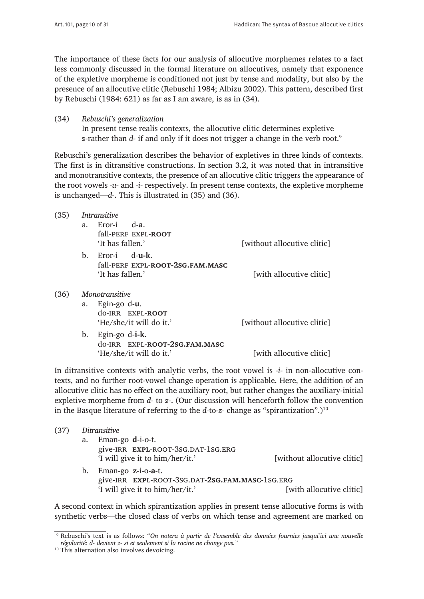The importance of these facts for our analysis of allocutive morphemes relates to a fact less commonly discussed in the formal literature on allocutives, namely that exponence of the expletive morpheme is conditioned not just by tense and modality, but also by the presence of an allocutive clitic (Rebuschi 1984; Albizu 2002). This pattern, described first by Rebuschi (1984:  $621$ ) as far as I am aware, is as in  $(34)$ .

(34) *Rebuschi's generalization* In present tense realis contexts, the allocutive clitic determines expletive *z-*rather than *d-* if and only if it does not trigger a change in the verb root.9

Rebuschi's generalization describes the behavior of expletives in three kinds of contexts. The first is in ditransitive constructions. In section 3.2, it was noted that in intransitive and monotransitive contexts, the presence of an allocutive clitic triggers the appearance of the root vowels *-u-* and *-i-* respectively. In present tense contexts, the expletive morpheme is unchanged—*d-*. This is illustrated in (35) and (36).

| (35) | <i>Intransitive</i>   |                                  |                             |  |  |  |
|------|-----------------------|----------------------------------|-----------------------------|--|--|--|
|      | a.                    | Fror-i<br>d-a.                   |                             |  |  |  |
|      |                       | fall-PERF EXPL-ROOT              |                             |  |  |  |
|      |                       | 'It has fallen.'                 | [without allocutive clitic] |  |  |  |
|      | b.                    | $Error-i$ $d-u-k$ .              |                             |  |  |  |
|      |                       | fall-PERF EXPL-ROOT-2SG.FAM.MASC |                             |  |  |  |
|      |                       | 'It has fallen.'                 | [with allocutive clitic]    |  |  |  |
| (36) | <b>Monotransitive</b> |                                  |                             |  |  |  |
|      | a.                    | Egin-go d-u.                     |                             |  |  |  |
|      |                       | do-IRR EXPL-ROOT                 |                             |  |  |  |
|      |                       | 'He/she/it will do it.'          | [without allocutive clitic] |  |  |  |
|      | b.                    | Egin-go d- <b>i-k</b> .          |                             |  |  |  |
|      |                       | do-IRR EXPL-ROOT-2SG.FAM.MASC    |                             |  |  |  |
|      |                       | 'He/she/it will do it.'          | [with allocutive clitic]    |  |  |  |

In ditransitive contexts with analytic verbs, the root vowel is *-i-* in non-allocutive contexts, and no further root-vowel change operation is applicable. Here, the addition of an allocutive clitic has no effect on the auxiliary root, but rather changes the auxiliary-initial expletive morpheme from *d-* to *z-*. (Our discussion will henceforth follow the convention in the Basque literature of referring to the *d*-to-*z*- change as "spirantization".)<sup>10</sup>

- (37) *Ditransitive*
	- a. Eman-go **d**-i-o-t. give-IRR **EXPL-ROOT-3SG.DAT-1SG.ERG** 'I will give it to him/her/it.' [without allocutive clitic]

b. Eman-go **z**-i-o-**a**-t. give-irr **expl**-root-3sg.dat-**2sg.fam.masc**-1sg.erg 'I will give it to him/her/it.' [with allocutive clitic]

A second context in which spirantization applies in present tense allocutive forms is with synthetic verbs—the closed class of verbs on which tense and agreement are marked on

<sup>9</sup> Rebuschi's text is as follows: "*On notera à partir de l'ensemble des données fournies jusqui'ici une nouvelle régularité: d- devient z- si et seulement si la racine ne change pas.*"

<sup>&</sup>lt;sup>10</sup> This alternation also involves devoicing.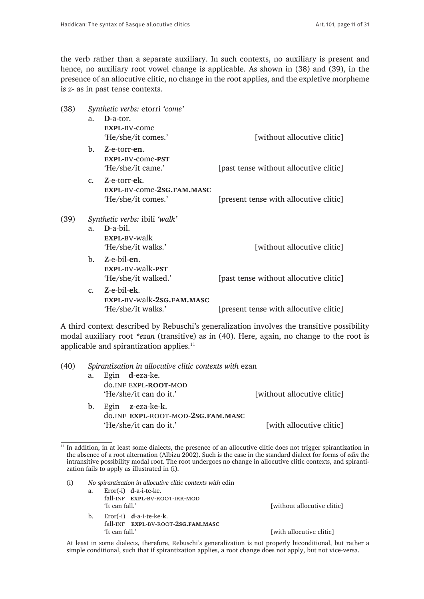the verb rather than a separate auxiliary. In such contexts, no auxiliary is present and hence, no auxiliary root vowel change is applicable. As shown in (38) and (39), in the presence of an allocutive clitic, no change in the root applies, and the expletive morpheme is *z-* as in past tense contexts.

| (38) | Synthetic verbs: etorri 'come'                       |                                                                 |                                        |  |  |  |
|------|------------------------------------------------------|-----------------------------------------------------------------|----------------------------------------|--|--|--|
|      | a.                                                   | D-a-tor.<br>EXPL-BV-come<br>'He/she/it comes.'                  | [without allocutive clitic]            |  |  |  |
|      | $\mathbf{b}$ .                                       | Z-e-torr-en.<br>EXPL-BV-come-PST<br>'He/she/it came.'           | [past tense without allocutive clitic] |  |  |  |
|      | $\mathcal{C}$ .                                      | Z-e-torr-ek.<br>EXPL-BV-come-2sG.FAM.MASC<br>'He/she/it comes.' | [present tense with allocutive clitic] |  |  |  |
| (39) | Synthetic verbs: ibili 'walk'                        |                                                                 |                                        |  |  |  |
|      | D-a-bil.<br>a.<br>EXPL-BV-walk<br>'He/she/it walks.' |                                                                 | [without allocutive clitic]            |  |  |  |
|      |                                                      | b. Z-e-bil-en.<br>EXPL-BV-walk-PST<br>'He/she/it walked.'       | [past tense without allocutive clitic] |  |  |  |
|      | $c_{\rm m}$                                          | Z-e-bil-ek.<br>EXPL-BV-walk-2sG.FAM.MASC<br>'He/she/it walks.'  | [present tense with allocutive clitic] |  |  |  |

A third context described by Rebuschi's generalization involves the transitive possibility modal auxiliary root *\*ezan* (transitive) as in (40). Here, again, no change to the root is applicable and spirantization applies.11

| a.                     |                                   |                                                                                                                                                           |  |
|------------------------|-----------------------------------|-----------------------------------------------------------------------------------------------------------------------------------------------------------|--|
| 'He/she/it can do it.' |                                   | [without allocutive clitic]                                                                                                                               |  |
|                        | do.INF EXPL-ROOT-MOD-2SG.FAM.MASC | [with allocutive clitic]                                                                                                                                  |  |
|                        |                                   | Spirantization in allocutive clitic contexts with ezan<br>Egin <b>d</b> -eza-ke.<br>do.INF EXPL-ROOT-MOD<br>b. Egin z-eza-ke-k.<br>'He/she/it can do it.' |  |

 $11$  In addition, in at least some dialects, the presence of an allocutive clitic does not trigger spirantization in the absence of a root alternation (Albizu 2002). Such is the case in the standard dialect for forms of *edin* the intransitive possibility modal root. The root undergoes no change in allocutive clitic contexts, and spirantization fails to apply as illustrated in (i).

 At least in some dialects, therefore, Rebuschi's generalization is not properly biconditional, but rather a simple conditional, such that if spirantization applies, a root change does not apply, but not vice-versa.

[with allocutive clitic]

<sup>(</sup>i) *No spirantization in allocutive clitic contexts with* edin a. Eror(-i) **d**-a-i-te-ke. fall-INF **EXPL-BV-ROOT-IRR-MOD** 'It can fall.' [without allocutive clitic] b. Eror(-i) **d**-a-i-te-ke-**k**. fall-inf **expl**-bv-root-**2sg.fam.masc**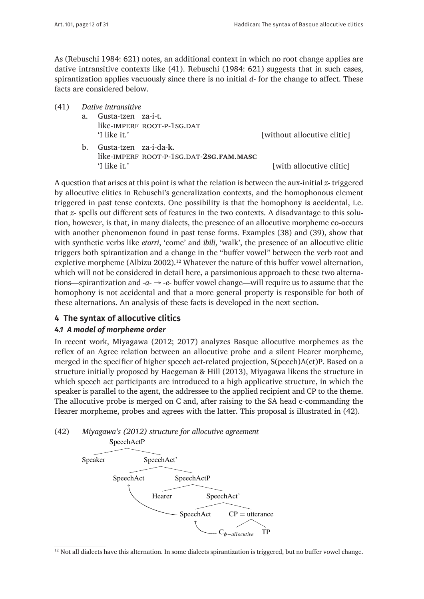As (Rebuschi 1984: 621) notes, an additional context in which no root change applies are dative intransitive contexts like (41). Rebuschi (1984: 621) suggests that in such cases, spirantization applies vacuously since there is no initial *d-* for the change to affect. These facts are considered below.

- (41) *Dative intransitive*
	- a. Gusta-tzen za-i-t. like-IMPERF ROOT-P-1SG.DAT<br>'I like it.'

[without allocutive clitic]

b. Gusta-tzen za-i-da-**k**. like-imperf root-p-1sg.dat-**2sg.fam.masc** 'I like it.'  $[with all ocutive \text{ elliptic}]$ 

A question that arises at this point is what the relation is between the aux-initial *z-* triggered by allocutive clitics in Rebuschi's generalization contexts, and the homophonous element triggered in past tense contexts. One possibility is that the homophony is accidental, i.e. that *z-* spells out different sets of features in the two contexts. A disadvantage to this solution, however, is that, in many dialects, the presence of an allocutive morpheme co-occurs with another phenomenon found in past tense forms. Examples (38) and (39), show that with synthetic verbs like *etorri*, 'come' and *ibili*, 'walk', the presence of an allocutive clitic triggers both spirantization and a change in the "buffer vowel" between the verb root and expletive morpheme (Albizu 2002).<sup>12</sup> Whatever the nature of this buffer vowel alternation, which will not be considered in detail here, a parsimonious approach to these two alternations—spirantization and *-a- → -e-* buffer vowel change—will require us to assume that the homophony is not accidental and that a more general property is responsible for both of these alternations. An analysis of these facts is developed in the next section.

## **4 The syntax of allocutive clitics**

#### *4.1 A model of morpheme order*

In recent work, Miyagawa (2012; 2017) analyzes Basque allocutive morphemes as the reflex of an Agree relation between an allocutive probe and a silent Hearer morpheme, merged in the specifier of higher speech act-related projection, S(peech)A(ct)P. Based on a structure initially proposed by Haegeman & Hill (2013), Miyagawa likens the structure in which speech act participants are introduced to a high applicative structure, in which the speaker is parallel to the agent, the addressee to the applied recipient and CP to the theme. The allocutive probe is merged on C and, after raising to the SA head c-commanding the Hearer morpheme, probes and agrees with the latter. This proposal is illustrated in (42).

(42) *Miyagawa's (2012) structure for allocutive agreement*



<sup>&</sup>lt;sup>12</sup> Not all dialects have this alternation. In some dialects spirantization is triggered, but no buffer vowel change.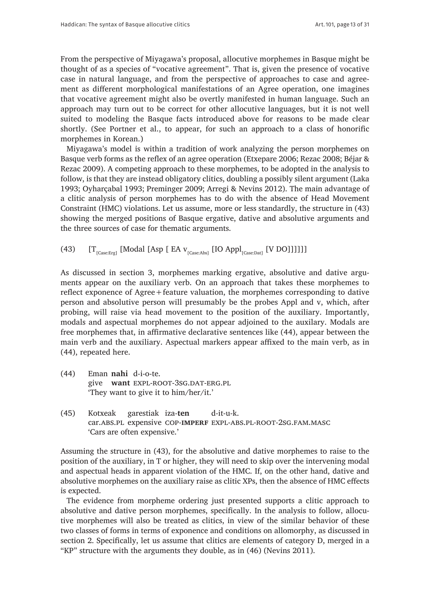From the perspective of Miyagawa's proposal, allocutive morphemes in Basque might be thought of as a species of "vocative agreement". That is, given the presence of vocative case in natural language, and from the perspective of approaches to case and agreement as different morphological manifestations of an Agree operation, one imagines that vocative agreement might also be overtly manifested in human language. Such an approach may turn out to be correct for other allocutive languages, but it is not well suited to modeling the Basque facts introduced above for reasons to be made clear shortly. (See Portner et al., to appear, for such an approach to a class of honorific morphemes in Korean.)

Miyagawa's model is within a tradition of work analyzing the person morphemes on Basque verb forms as the reflex of an agree operation (Etxepare 2006; Rezac 2008; Béjar & Rezac 2009). A competing approach to these morphemes, to be adopted in the analysis to follow, is that they are instead obligatory clitics, doubling a possibly silent argument (Laka 1993; Oyharçabal 1993; Preminger 2009; Arregi & Nevins 2012). The main advantage of a clitic analysis of person morphemes has to do with the absence of Head Movement Constraint (HMC) violations. Let us assume, more or less standardly, the structure in (43) showing the merged positions of Basque ergative, dative and absolutive arguments and the three sources of case for thematic arguments.

(43)  $[T_{[Case:Exp]}$  [Modal [Asp [ EA  $v_{[Case:Abs]}$  [IO Appl<sub>[Case:Dat]</sub> [V DO]]]]]]

As discussed in section 3, morphemes marking ergative, absolutive and dative arguments appear on the auxiliary verb. On an approach that takes these morphemes to reflect exponence of Agree+feature valuation, the morphemes corresponding to dative person and absolutive person will presumably be the probes Appl and v, which, after probing, will raise via head movement to the position of the auxiliary. Importantly, modals and aspectual morphemes do not appear adjoined to the auxilary. Modals are free morphemes that, in affirmative declarative sentences like (44), appear between the main verb and the auxiliary. Aspectual markers appear affixed to the main verb, as in (44), repeated here.

- (44) Eman **nahi** d-i-o-te. give **want** expl-root-3sg.dat-erg.pl 'They want to give it to him/her/it.'
- (45) Kotxeak garestiak iza-**ten** d-it-u-k. car.abs.pl expensive cop-**imperf** expl-abs.pl-root-2sg.fam.masc 'Cars are often expensive.'

Assuming the structure in (43), for the absolutive and dative morphemes to raise to the position of the auxiliary, in T or higher, they will need to skip over the intervening modal and aspectual heads in apparent violation of the HMC. If, on the other hand, dative and absolutive morphemes on the auxiliary raise as clitic XPs, then the absence of HMC effects is expected.

The evidence from morpheme ordering just presented supports a clitic approach to absolutive and dative person morphemes, specifically. In the analysis to follow, allocutive morphemes will also be treated as clitics, in view of the similar behavior of these two classes of forms in terms of exponence and conditions on allomorphy, as discussed in section 2. Specifically, let us assume that clitics are elements of category D, merged in a "KP" structure with the arguments they double, as in (46) (Nevins 2011).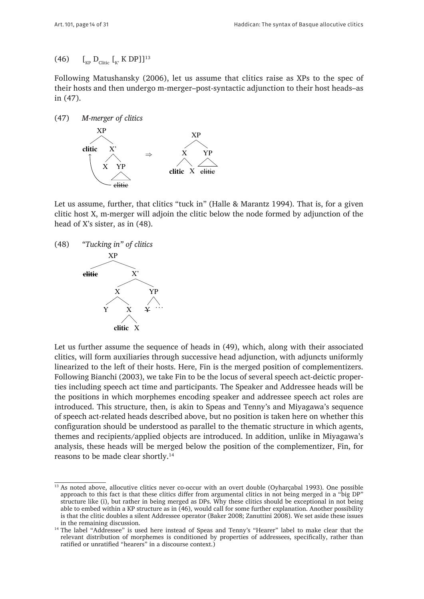## (46)  $\left[ \begin{matrix} 1 \\ \text{Kp} \end{matrix} \right]$   $\left[ \begin{matrix} 0 \\ \text{C} \end{matrix} \right]$   $\left[ \begin{matrix} 0 \\ \text{K'} \end{matrix} \right]$   $\left[ \begin{matrix} 0 \\ \text{K'} \end{matrix} \right]$   $\left[ \begin{matrix} 0 \\ \text{N'} \end{matrix} \right]$

Following Matushansky (2006), let us assume that clitics raise as XPs to the spec of their hosts and then undergo m-merger–post-syntactic adjunction to their host heads–as in  $(47)$ .





Let us assume, further, that clitics "tuck in" (Halle & Marantz 1994). That is, for a given clitic host X, m-merger will adjoin the clitic below the node formed by adjunction of the head of X's sister, as in (48).



Let us further assume the sequence of heads in (49), which, along with their associated clitics, will form auxiliaries through successive head adjunction, with adjuncts uniformly linearized to the left of their hosts. Here, Fin is the merged position of complementizers. Following Bianchi (2003), we take Fin to be the locus of several speech act-deictic properties including speech act time and participants. The Speaker and Addressee heads will be the positions in which morphemes encoding speaker and addressee speech act roles are introduced. This structure, then, is akin to Speas and Tenny's and Miyagawa's sequence of speech act-related heads described above, but no position is taken here on whether this configuration should be understood as parallel to the thematic structure in which agents, themes and recipients/applied objects are introduced. In addition, unlike in Miyagawa's analysis, these heads will be merged below the position of the complementizer, Fin, for reasons to be made clear shortly.14

<sup>&</sup>lt;sup>13</sup> As noted above, allocutive clitics never co-occur with an overt double (Oyharçabal 1993). One possible approach to this fact is that these clitics differ from argumental clitics in not being merged in a "big DP" structure like (i), but rather in being merged as DPs. Why these clitics should be exceptional in not being able to embed within a KP structure as in (46), would call for some further explanation. Another possibility is that the clitic doubles a silent Addressee operator (Baker 2008; Zanuttini 2008). We set aside these issues in the remaining discussion.

<sup>&</sup>lt;sup>14</sup> The label "Addressee" is used here instead of Speas and Tenny's "Hearer" label to make clear that the relevant distribution of morphemes is conditioned by properties of addressees, specifically, rather than ratified or unratified "hearers" in a discourse context.)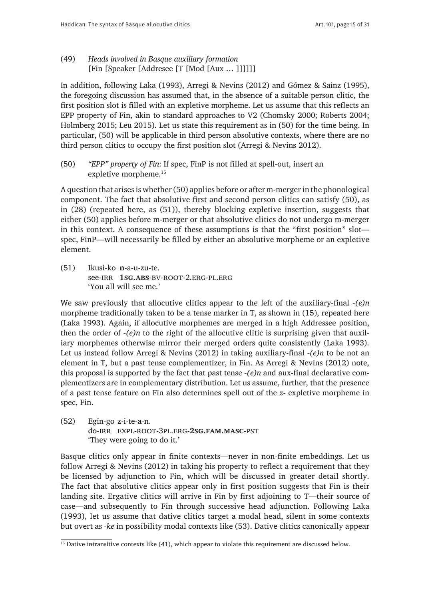(49) *Heads involved in Basque auxiliary formation* [Fin [Speaker [Addresee [T [Mod [Aux … ]]]]]]

In addition, following Laka (1993), Arregi & Nevins (2012) and Gómez & Sainz (1995), the foregoing discussion has assumed that, in the absence of a suitable person clitic, the first position slot is filled with an expletive morpheme. Let us assume that this reflects an EPP property of Fin, akin to standard approaches to V2 (Chomsky 2000; Roberts 2004; Holmberg 2015; Leu 2015). Let us state this requirement as in (50) for the time being. In particular, (50) will be applicable in third person absolutive contexts, where there are no third person clitics to occupy the first position slot (Arregi & Nevins 2012).

(50) *"EPP" property of Fin*: If spec, FinP is not filled at spell-out, insert an expletive morpheme.15

A question that arises is whether (50) applies before or after m-merger in the phonological component. The fact that absolutive first and second person clitics can satisfy (50), as in (28) (repeated here, as (51)), thereby blocking expletive insertion, suggests that either (50) applies before m-merger or that absolutive clitics do not undergo m-merger in this context. A consequence of these assumptions is that the "first position" slot spec, FinP—will necessarily be filled by either an absolutive morpheme or an expletive element.

(51) Ikusi-ko **n**-a-u-zu-te. see-irr **1sg.abs**-bv-root-2.erg-pl.erg 'You all will see me.'

We saw previously that allocutive clitics appear to the left of the auxiliary-final *-(e)n* morpheme traditionally taken to be a tense marker in T, as shown in (15), repeated here (Laka 1993). Again, if allocutive morphemes are merged in a high Addressee position, then the order of *-(e)n* to the right of the allocutive clitic is surprising given that auxiliary morphemes otherwise mirror their merged orders quite consistently (Laka 1993). Let us instead follow Arregi & Nevins (2012) in taking auxiliary-final *-(e)n* to be not an element in T, but a past tense complementizer, in Fin. As Arregi & Nevins (2012) note, this proposal is supported by the fact that past tense *-(e)n* and aux-final declarative complementizers are in complementary distribution. Let us assume, further, that the presence of a past tense feature on Fin also determines spell out of the *z-* expletive morpheme in spec, Fin.

(52) Egin-go z-i-te-**a**-n. do-irr expl-root-3pl.erg-**2sg.fam.masc**-pst 'They were going to do it.'

Basque clitics only appear in finite contexts—never in non-finite embeddings. Let us follow Arregi & Nevins (2012) in taking his property to reflect a requirement that they be licensed by adjunction to Fin, which will be discussed in greater detail shortly. The fact that absolutive clitics appear only in first position suggests that Fin is their landing site. Ergative clitics will arrive in Fin by first adjoining to T—their source of case—and subsequently to Fin through successive head adjunction. Following Laka (1993), let us assume that dative clitics target a modal head, silent in some contexts but overt as *-ke* in possibility modal contexts like (53). Dative clitics canonically appear

<sup>&</sup>lt;sup>15</sup> Dative intransitive contexts like (41), which appear to violate this requirement are discussed below.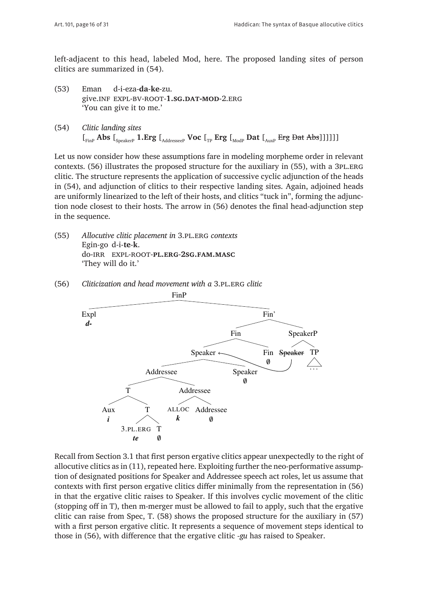left-adjacent to this head, labeled Mod, here. The proposed landing sites of person clitics are summarized in (54).

- (53) Eman d-i-eza-**da**-**ke**-zu. give.inf expl-bv-root-**1.sg.dat-mod**-2.erg 'You can give it to me.'
- (54) *Clitic landing sites*  $\left[\mathbf{F}_{\text{Fine}}\text{Abs}\right]$   $\left[\mathbf{F}_{\text{SpeakerP}}\text{1.} \text{Erg}\right]$   $\left[\mathbf{F}_{\text{AddresseeP}}\text{Vec}\right]$  **Frg**  $\left[\mathbf{F}_{\text{ModP}}\text{Det}\left[\mathbf{F}_{\text{Aug}}\text{Ext}\right]$

Let us now consider how these assumptions fare in modeling morpheme order in relevant contexts. (56) illustrates the proposed structure for the auxiliary in (55), with a 3PL.ERG clitic. The structure represents the application of successive cyclic adjunction of the heads in (54), and adjunction of clitics to their respective landing sites. Again, adjoined heads are uniformly linearized to the left of their hosts, and clitics "tuck in", forming the adjunction node closest to their hosts. The arrow in (56) denotes the final head-adjunction step in the sequence.

- (55) *Allocutive clitic placement in* 3.pl.erg *contexts* Egin-go d-i-**te**-**k**. do-irr expl-root-**pl.erg**-**2sg.fam.masc** 'They will do it.'
	- FinP Fin' SpeakerP TP ... Fin Speaker Fin  $\emptyset$ Speaker Speaker  $\emptyset$ Addressee Addressee ALLOC Addressee  $\boldsymbol{\theta}$ *k*  $\overline{T}$ T T  $\boldsymbol{\theta}$ 3.PL.ERG *te* Aux *i* Expl *d-*
- (56) *Cliticization and head movement with a* 3.pl.erg *clitic*

Recall from Section 3.1 that first person ergative clitics appear unexpectedly to the right of allocutive clitics as in (11), repeated here. Exploiting further the neo-performative assumption of designated positions for Speaker and Addressee speech act roles, let us assume that contexts with first person ergative clitics differ minimally from the representation in (56) in that the ergative clitic raises to Speaker. If this involves cyclic movement of the clitic (stopping off in T), then m-merger must be allowed to fail to apply, such that the ergative clitic can raise from Spec, T. (58) shows the proposed structure for the auxiliary in (57) with a first person ergative clitic. It represents a sequence of movement steps identical to those in (56), with difference that the ergative clitic *-gu* has raised to Speaker.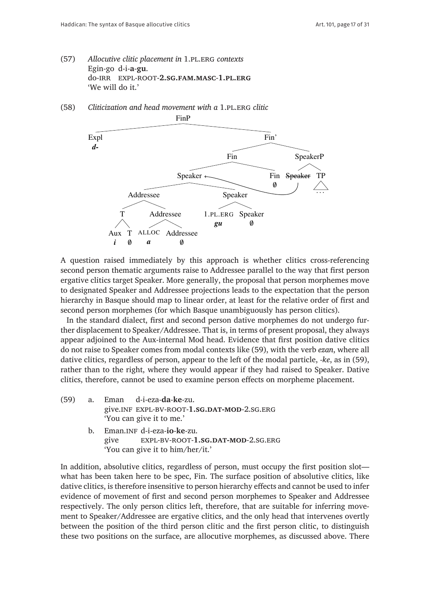- (57) *Allocutive clitic placement in* 1.pl.erg *contexts* Egin-go d-i-**a**-**gu**. do-irr expl-root-**2.sg.fam.masc**-**1.pl.erg** 'We will do it.'
- (58) *Cliticization and head movement with a* 1.pl.erg *clitic*



A question raised immediately by this approach is whether clitics cross-referencing second person thematic arguments raise to Addressee parallel to the way that first person ergative clitics target Speaker. More generally, the proposal that person morphemes move to designated Speaker and Addressee projections leads to the expectation that the person hierarchy in Basque should map to linear order, at least for the relative order of first and second person morphemes (for which Basque unambiguously has person clitics).

In the standard dialect, first and second person dative morphemes do not undergo further displacement to Speaker/Addressee. That is, in terms of present proposal, they always appear adjoined to the Aux-internal Mod head. Evidence that first position dative clitics do not raise to Speaker comes from modal contexts like (59), with the verb *ezan*, where all dative clitics, regardless of person, appear to the left of the modal particle, *-ke*, as in (59), rather than to the right, where they would appear if they had raised to Speaker. Dative clitics, therefore, cannot be used to examine person effects on morpheme placement.

- (59) a. Eman d-i-eza-**da**-**ke**-zu. give.inf expl-bv-root-**1.sg.dat-mod**-2.sg.erg 'You can give it to me.'
	- b. Eman.inf d-i-eza-**io**-**ke**-zu. give expl-bv-root-**1.sg.dat-mod**-2.sg.erg 'You can give it to him/her/it.'

In addition, absolutive clitics, regardless of person, must occupy the first position slot what has been taken here to be spec, Fin. The surface position of absolutive clitics, like dative clitics, is therefore insensitive to person hierarchy effects and cannot be used to infer evidence of movement of first and second person morphemes to Speaker and Addressee respectively. The only person clitics left, therefore, that are suitable for inferring movement to Speaker/Addressee are ergative clitics, and the only head that intervenes overtly between the position of the third person clitic and the first person clitic, to distinguish these two positions on the surface, are allocutive morphemes, as discussed above. There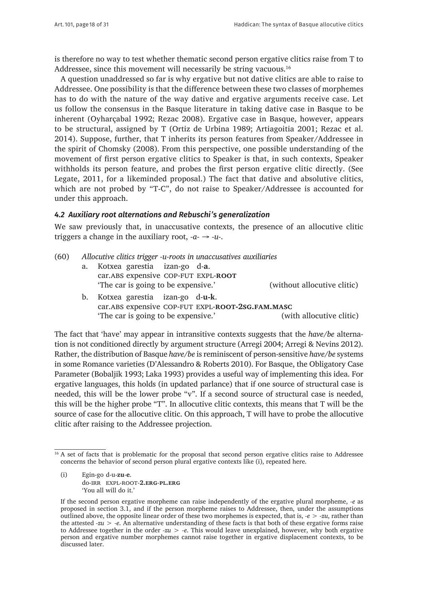is therefore no way to test whether thematic second person ergative clitics raise from T to Addressee, since this movement will necessarily be string vacuous.<sup>16</sup>

A question unaddressed so far is why ergative but not dative clitics are able to raise to Addressee. One possibility is that the difference between these two classes of morphemes has to do with the nature of the way dative and ergative arguments receive case. Let us follow the consensus in the Basque literature in taking dative case in Basque to be inherent (Oyharçabal 1992; Rezac 2008). Ergative case in Basque, however, appears to be structural, assigned by T (Ortiz de Urbina 1989; Artiagoitia 2001; Rezac et al. 2014). Suppose, further, that T inherits its person features from Speaker/Addressee in the spirit of Chomsky (2008). From this perspective, one possible understanding of the movement of first person ergative clitics to Speaker is that, in such contexts, Speaker withholds its person feature, and probes the first person ergative clitic directly. (See Legate, 2011, for a likeminded proposal.) The fact that dative and absolutive clitics, which are not probed by "T-C", do not raise to Speaker/Addressee is accounted for under this approach.

#### *4.2 Auxiliary root alternations and Rebuschi's generalization*

We saw previously that, in unaccusative contexts, the presence of an allocutive clitic triggers a change in the auxiliary root, *-a- → -u-*.

- (60) *Allocutive clitics trigger -u-roots in unaccusatives auxiliaries*
	- a. Kotxea garestia izan-go d-**a**. car.abs expensive cop-fut expl-**root** 'The car is going to be expensive.' (without allocutive clitic)

b. Kotxea garestia izan-go d-**u-k**. car.abs expensive cop-fut expl-**root-2sg.fam.masc** 'The car is going to be expensive.' (with allocutive clitic)

The fact that 'have' may appear in intransitive contexts suggests that the *have/be* alternation is not conditioned directly by argument structure (Arregi 2004; Arregi & Nevins 2012). Rather, the distribution of Basque *have/be* is reminiscent of person-sensitive *have/be* systems in some Romance varieties (D'Alessandro & Roberts 2010). For Basque, the Obligatory Case Parameter (Bobaljik 1993; Laka 1993) provides a useful way of implementing this idea. For ergative languages, this holds (in updated parlance) that if one source of structural case is needed, this will be the lower probe "v". If a second source of structural case is needed, this will be the higher probe "T". In allocutive clitic contexts, this means that T will be the source of case for the allocutive clitic. On this approach, T will have to probe the allocutive clitic after raising to the Addressee projection.

(i) Egin-go d-u-**zu**-**e**. do-irr expl-root-**2.erg**-**pl.erg** 'You all will do it.'

<sup>&</sup>lt;sup>16</sup> A set of facts that is problematic for the proposal that second person ergative clitics raise to Addressee concerns the behavior of second person plural ergative contexts like (i), repeated here.

If the second person ergative morpheme can raise independently of the ergative plural morpheme, *-e* as proposed in section 3.1, and if the person morpheme raises to Addressee, then, under the assumptions outlined above, the opposite linear order of these two morphemes is expected, that is, *-e > -zu*, rather than the attested *-zu > -e*. An alternative understanding of these facts is that both of these ergative forms raise to Addressee together in the order *-zu > -e*. This would leave unexplained, however, why both ergative person and ergative number morphemes cannot raise together in ergative displacement contexts, to be discussed later.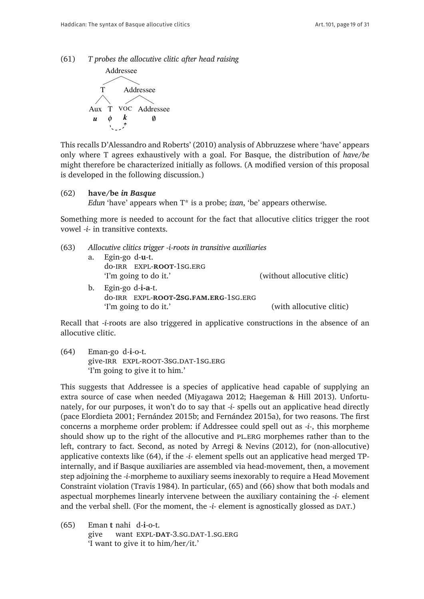(61) *T probes the allocutive clitic after head raising*



This recalls D'Alessandro and Roberts' (2010) analysis of Abbruzzese where 'have' appears only where T agrees exhaustively with a goal. For Basque, the distribution of *have/be* might therefore be characterized initially as follows. (A modified version of this proposal is developed in the following discussion.)

(62) **have/be** *in Basque Edun* 'have' appears when T\* is a probe; *izan*, 'be' appears otherwise.

Something more is needed to account for the fact that allocutive clitics trigger the root vowel *-i-* in transitive contexts.

| (63) |    | Allocutive clitics trigger -i-roots in transitive auxiliaries |                             |  |  |
|------|----|---------------------------------------------------------------|-----------------------------|--|--|
|      | a. | Egin-go d-u-t.                                                |                             |  |  |
|      |    | do-IRR EXPL-ROOT-1SG.ERG                                      |                             |  |  |
|      |    | 'I'm going to do it.'                                         | (without allocutive clitic) |  |  |
|      | b. | Egin-go d-i-a-t.                                              |                             |  |  |
|      |    | do-IRR EXPL-ROOT-2SG.FAM.ERG-1SG.ERG                          |                             |  |  |
|      |    | 'I'm going to do it.'                                         | (with allocutive clitic)    |  |  |

Recall that *-i-*roots are also triggered in applicative constructions in the absence of an allocutive clitic.

(64) Eman-go d-**i**-o-t. give-IRR EXPL-ROOT-3SG.DAT-1SG.ERG 'I'm going to give it to him.'

This suggests that Addressee is a species of applicative head capable of supplying an extra source of case when needed (Miyagawa 2012; Haegeman & Hill 2013). Unfortunately, for our purposes, it won't do to say that *-i-* spells out an applicative head directly (pace Elordieta 2001; Fernández 2015b; and Fernández 2015a), for two reasons. The first concerns a morpheme order problem: if Addressee could spell out as *-i-*, this morpheme should show up to the right of the allocutive and PL.ERG morphemes rather than to the left, contrary to fact. Second, as noted by Arregi & Nevins (2012), for (non-allocutive) applicative contexts like (64), if the *-i-* element spells out an applicative head merged TPinternally, and if Basque auxiliaries are assembled via head-movement, then, a movement step adjoining the *-i-*morpheme to auxiliary seems inexorably to require a Head Movement Constraint violation (Travis 1984). In particular, (65) and (66) show that both modals and aspectual morphemes linearly intervene between the auxiliary containing the *-i-* element and the verbal shell. (For the moment, the -i- element is agnostically glossed as DAT.)

(65) Eman **t** nahi d-**i**-o-t. give want EXPL-DAT-3.SG.DAT-1.SG.ERG 'I want to give it to him/her/it.'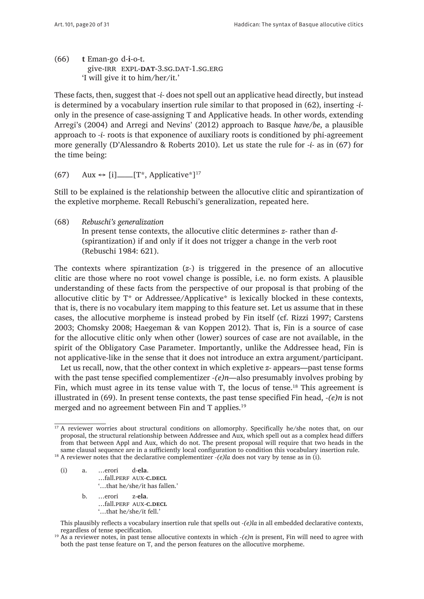(66) **t** Eman-go d-**i**-o-t. give-irr expl-**dat**-3.sg.dat-1.sg.erg 'I will give it to him/her/it.'

These facts, then, suggest that *-i-* does not spell out an applicative head directly, but instead is determined by a vocabulary insertion rule similar to that proposed in (62), inserting *-i*only in the presence of case-assigning T and Applicative heads. In other words, extending Arregi's (2004) and Arregi and Nevins' (2012) approach to Basque *have/be*, a plausible approach to *-i-* roots is that exponence of auxiliary roots is conditioned by phi-agreement more generally (D'Alessandro & Roberts 2010). Let us state the rule for *-i-* as in (67) for the time being:

(67) Aux *↔* [i]——[T\*, Applicative\*]17

Still to be explained is the relationship between the allocutive clitic and spirantization of the expletive morpheme. Recall Rebuschi's generalization, repeated here.

(68) *Rebuschi's generalization* In present tense contexts, the allocutive clitic determines *z-* rather than *d-* (spirantization) if and only if it does not trigger a change in the verb root (Rebuschi 1984: 621).

The contexts where spirantization (*z-*) is triggered in the presence of an allocutive clitic are those where no root vowel change is possible, i.e. no form exists. A plausible understanding of these facts from the perspective of our proposal is that probing of the allocutive clitic by  $T^*$  or Addressee/Applicative\* is lexically blocked in these contexts, that is, there is no vocabulary item mapping to this feature set. Let us assume that in these cases, the allocutive morpheme is instead probed by Fin itself (cf. Rizzi 1997; Carstens 2003; Chomsky 2008; Haegeman & van Koppen 2012). That is, Fin is a source of case for the allocutive clitic only when other (lower) sources of case are not available, in the spirit of the Obligatory Case Parameter. Importantly, unlike the Addressee head, Fin is not applicative-like in the sense that it does not introduce an extra argument/participant.

Let us recall, now, that the other context in which expletive *z-* appears—past tense forms with the past tense specified complementizer *-(e)n*—also presumably involves probing by Fin, which must agree in its tense value with T, the locus of tense.<sup>18</sup> This agreement is illustrated in (69). In present tense contexts, the past tense specified Fin head, *-(e)n* is not merged and no agreement between Fin and T applies.<sup>19</sup>

<sup>18</sup> A reviewer notes that the declarative complementizer *-(e)la* does not vary by tense as in (i).

(i) a. …erori d-**ela**. …fall.perf aux-**c.decl**

'…that he/she/it has fallen.'

- b. …erori z-**ela**.
	- …fall.perf aux-**c.decl**
	- '…that he/she/it fell.'

This plausibly reflects a vocabulary insertion rule that spells out *-(e)la* in all embedded declarative contexts, regardless of tense specification.

<sup>&</sup>lt;sup>17</sup> A reviewer worries about structural conditions on allomorphy. Specifically he/she notes that, on our proposal, the structural relationship between Addressee and Aux, which spell out as a complex head differs from that between Appl and Aux, which do not. The present proposal will require that two heads in the same clausal sequence are in a sufficiently local configuration to condition this vocabulary insertion rule.

<sup>19</sup> As a reviewer notes, in past tense allocutive contexts in which *-(e)n* is present, Fin will need to agree with both the past tense feature on T, and the person features on the allocutive morpheme.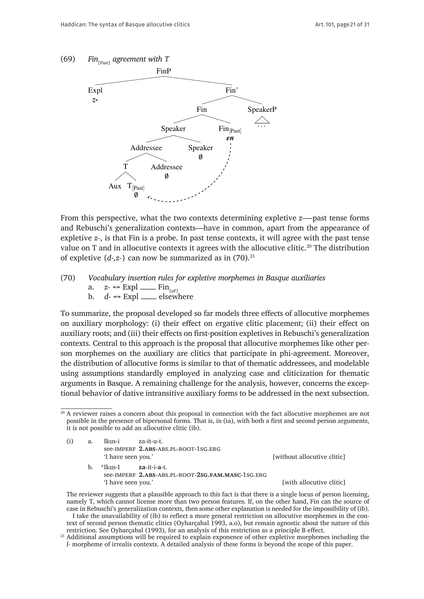

From this perspective, what the two contexts determining expletive *z-*—past tense forms and Rebuschi's generalization contexts—have in common, apart from the appearance of expletive *z-*, is that Fin is a probe. In past tense contexts, it will agree with the past tense value on T and in allocutive contexts it agrees with the allocutive clitic.<sup>20</sup> The distribution of expletive  $\{d_{\tau}, z_{\tau}\}$  can now be summarized as in (70).<sup>21</sup>

# (70) *Vocabulary insertion rules for expletive morphemes in Basque auxiliaries* a. *z*- ↔ Expl —— Fin<sub>[uF]</sub>

b. *d- ↔* Expl —— elsewhere

To summarize, the proposal developed so far models three effects of allocutive morphemes on auxiliary morphology: (i) their effect on ergative clitic placement; (ii) their effect on auxiliary roots; and (iii) their effects on first-position expletives in Rebuschi's generalization contexts. Central to this approach is the proposal that allocutive morphemes like other person morphemes on the auxiliary are clitics that participate in phi-agreement. Moreover, the distribution of allocutive forms is similar to that of thematic addressees, and modelable using assumptions standardly employed in analyzing case and cliticization for thematic arguments in Basque. A remaining challenge for the analysis, however, concerns the exceptional behavior of dative intransitive auxiliary forms to be addressed in the next subsection.

(i) a. Ikus-i za-it-u-t. see-imperf **2.abs**-abs.pl-root-1sg.erg 'I have seen you.' Thave seen you.' Thave seen you.' Thave seen you.' I have seen you.'

b. \*Ikus-I **za**-it-i-**a**-t. see-imperf **2.abs**-abs.pl-root-**2sg.fam.masc**-1sg.erg 'I have seen you.' [with allocutive clitic]

 The reviewer suggests that a plausible approach to this fact is that there is a single locus of person licensing, namely T, which cannot license more than two person features. If, on the other hand, Fin can the source of case in Rebuschi's generalization contexts, then some other explanation is needed for the impossibility of (ib). I take the unavailability of (ib) to reflect a more general restriction on allocutive morphemes in the context of second person thematic clitics (Oyharçabal 1993, a.o), but remain agnostic about the nature of this

restriction. See Oyharçabal (1993), for an analysis of this restriction as a principle B effect. <sup>21</sup> Additional assumptions will be required to explain exponence of other expletive morphemes including the

*l-* morpheme of irrealis contexts. A detailed analysis of these forms is beyond the scope of this paper.

<sup>&</sup>lt;sup>20</sup> A reviewer raises a concern about this proposal in connection with the fact allocutive morphemes are not possible in the presence of bipersonal forms. That is, in (ia), with both a first and second person arguments, it is not possible to add an allocutive clitic (ib).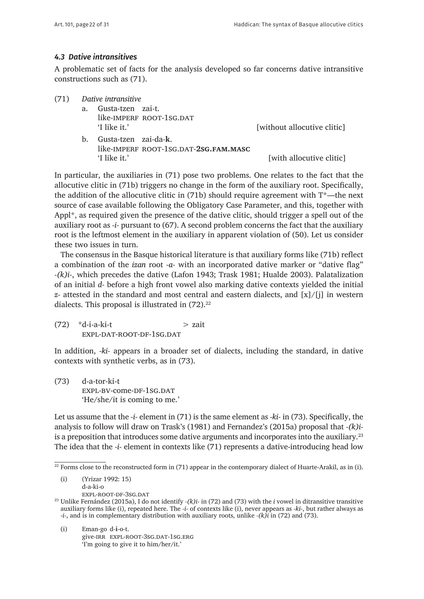#### *4.3 Dative intransitives*

A problematic set of facts for the analysis developed so far concerns dative intransitive constructions such as (71).

| (71) | Dative intransitive |                                       |                             |  |  |
|------|---------------------|---------------------------------------|-----------------------------|--|--|
|      | а.                  | Gusta-tzen zai-t.                     |                             |  |  |
|      |                     | like-IMPERF ROOT-1SG.DAT              |                             |  |  |
|      |                     | 'I like it.'                          | [without allocutive clitic] |  |  |
|      | b.                  | Gusta-tzen zai-da-k.                  |                             |  |  |
|      |                     | like-IMPERF ROOT-1SG.DAT-2SG.FAM.MASC |                             |  |  |
|      |                     | 'I like it.'                          | [with allocutive clitic]    |  |  |

In particular, the auxiliaries in (71) pose two problems. One relates to the fact that the allocutive clitic in (71b) triggers no change in the form of the auxiliary root. Specifically, the addition of the allocutive clitic in (71b) should require agreement with  $T^*$ —the next source of case available following the Obligatory Case Parameter, and this, together with Appl\*, as required given the presence of the dative clitic, should trigger a spell out of the auxiliary root as *-i-* pursuant to (67). A second problem concerns the fact that the auxiliary root is the leftmost element in the auxiliary in apparent violation of (50). Let us consider these two issues in turn.

The consensus in the Basque historical literature is that auxiliary forms like (71b) reflect a combination of the *izan* root *-a-* with an incorporated dative marker or "dative flag" *-(k)i-*, which precedes the dative (Lafon 1943; Trask 1981; Hualde 2003). Palatalization of an initial *d-* before a high front vowel also marking dative contexts yielded the initial *z-* attested in the standard and most central and eastern dialects, and [x]/[j] in western dialects. This proposal is illustrated in  $(72).^{22}$ 

 $(72)$  \*d-i-a-ki-t  $>$  zait expl-dat-root-df-1sg.dat

In addition, *-ki-* appears in a broader set of dialects, including the standard, in dative contexts with synthetic verbs, as in (73).

(73) d-a-tor-ki-t expl-bv-come-df-1sg.dat 'He/she/it is coming to me.'

Let us assume that the *-i-* element in (71) is the same element as *-ki-* in (73). Specifically, the analysis to follow will draw on Trask's (1981) and Fernandez's (2015a) proposal that *-(k)i*is a preposition that introduces some dative arguments and incorporates into the auxiliary.<sup>23</sup> The idea that the *-i-* element in contexts like (71) represents a dative-introducing head low

(i) (Yrizar 1992: 15) d-a-ki-o

expl-root-df-3sg.dat

(i) Eman-go d-**i**-o-t. give-irr expl-root-3sg.dat-1sg.erg 'I'm going to give it to him/her/it.'

 $22$  Forms close to the reconstructed form in (71) appear in the contemporary dialect of Huarte-Arakil, as in (i).

<sup>23</sup> Unlike Fernández (2015a), I do not identify *-(k)i-* in (72) and (73) with the *i* vowel in ditransitive transitive auxiliary forms like (i), repeated here. The *-i-* of contexts like (i), never appears as *-ki-*, but rather always as *-i-*, and is in complementary distribution with auxiliary roots, unlike *-(k)i* in (72) and (73).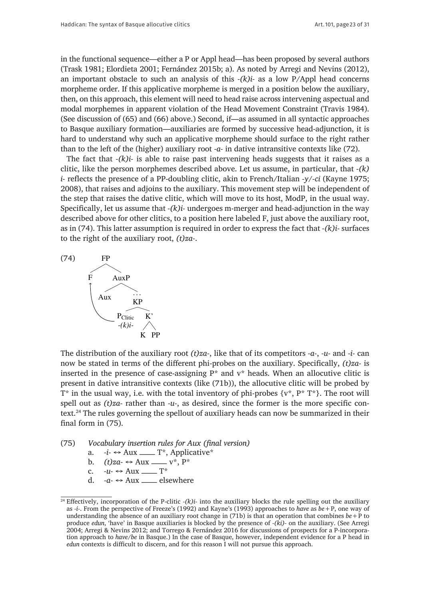in the functional sequence—either a P or Appl head—has been proposed by several authors (Trask 1981; Elordieta 2001; Fernández 2015b; a). As noted by Arregi and Nevins (2012), an important obstacle to such an analysis of this *-(k)i-* as a low P/Appl head concerns morpheme order. If this applicative morpheme is merged in a position below the auxiliary, then, on this approach, this element will need to head raise across intervening aspectual and modal morphemes in apparent violation of the Head Movement Constraint (Travis 1984). (See discussion of (65) and (66) above.) Second, if—as assumed in all syntactic approaches to Basque auxiliary formation—auxiliaries are formed by successive head-adjunction, it is hard to understand why such an applicative morpheme should surface to the right rather than to the left of the (higher) auxiliary root *-a-* in dative intransitive contexts like (72).

The fact that *-(k)i-* is able to raise past intervening heads suggests that it raises as a clitic, like the person morphemes described above. Let us assume, in particular, that *-(k) i-* reflects the presence of a PP-doubling clitic, akin to French/Italian *-y/-ci* (Kayne 1975; 2008), that raises and adjoins to the auxiliary. This movement step will be independent of the step that raises the dative clitic, which will move to its host, ModP, in the usual way. Specifically, let us assume that *-(k)i-* undergoes m-merger and head-adjunction in the way described above for other clitics, to a position here labeled F, just above the auxiliary root, as in (74). This latter assumption is required in order to express the fact that *-(k)i-* surfaces to the right of the auxiliary root, *(t)za-*.



The distribution of the auxiliary root *(t)za-*, like that of its competitors *-a-*, *-u-* and *-i-* can now be stated in terms of the different phi-probes on the auxiliary. Specifically, *(t)za-* is inserted in the presence of case-assigning  $P^*$  and  $v^*$  heads. When an allocutive clitic is present in dative intransitive contexts (like (71b)), the allocutive clitic will be probed by  $T^*$  in the usual way, i.e. with the total inventory of phi-probes  $\{v^*, P^* T^*\}$ . The root will spell out as *(t)za-* rather than *-u-*, as desired, since the former is the more specific context.24 The rules governing the spellout of auxiliary heads can now be summarized in their final form in (75).

- (75) *Vocabulary insertion rules for Aux (final version)*
	- a.  $-i$ - $\Leftrightarrow$  Aux \_\_\_\_\_\_ T<sup>\*</sup>, Applicative<sup>\*</sup>
	- b.  $(t)za \leftrightarrow Aux \longrightarrow v^*, P^*$ <br>c.  $-u \leftrightarrow Aux \longrightarrow T^*$
	- c.  $-u \leftrightarrow \text{Aux }$  T<sup>\*</sup><br>d  $-a \leftrightarrow \text{Aux }$  els
	- d. *-a- ↔* Aux —— elsewhere

<sup>&</sup>lt;sup>24</sup> Effectively, incorporation of the P-clitic *-(k)i*- into the auxiliary blocks the rule spelling out the auxiliary as *-i-*. From the perspective of Freeze's (1992) and Kayne's (1993) approaches to *have* as *be*+P, one way of understanding the absence of an auxiliary root change in (71b) is that an operation that combines *be*+P to produce *edun*, 'have' in Basque auxiliaries is blocked by the presence of *-(ki)-* on the auxiliary. (See Arregi 2004; Arregi & Nevins 2012; and Torrego & Fernández 2016 for discussions of prospects for a P-incorporation approach to *have/be* in Basque.) In the case of Basque, however, independent evidence for a P head in *edun* contexts is difficult to discern, and for this reason I will not pursue this approach.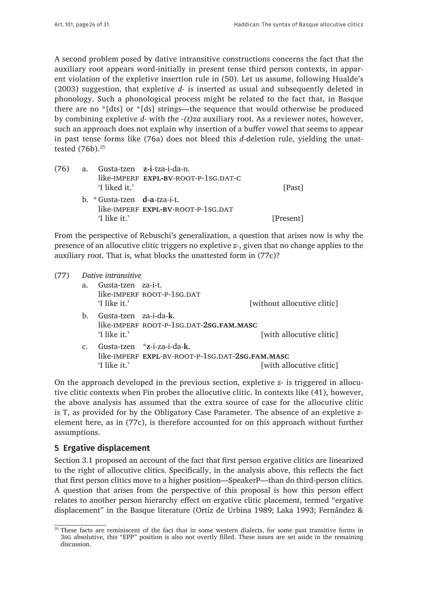A second problem posed by dative intransitive constructions concerns the fact that the auxiliary root appears word-initially in present tense third person contexts, in apparent violation of the expletive insertion rule in (50). Let us assume, following Hualde's (2003) suggestion, that expletive *d-* is inserted as usual and subsequently deleted in phonology. Such a phonological process might be related to the fact that, in Basque there are no \*[dts] or \*[ds] strings—the sequence that would otherwise be produced by combining expletive *d-* with the *-(t)za* auxiliary root. As a reviewer notes, however, such an approach does not explain why insertion of a buffer vowel that seems to appear in past tense forms like (76a) does not bleed this *d-*deletion rule, yielding the unattested (76b).25

| (76) | 'I liked it.'                                                               | a. Gusta-tzen z-i-tza-i-da-n.<br>like-IMPERF EXPL-BV-ROOT-P-1SG.DAT-C | [Past]    |
|------|-----------------------------------------------------------------------------|-----------------------------------------------------------------------|-----------|
|      | $\mathbf{b}$ . $\mathbf{c}$ Gusta-tzen <b>d-a</b> -tza-i-t.<br>'I like it.' | like-IMPERF EXPL-BV-ROOT-P-1SG.DAT                                    | [Present] |

From the perspective of Rebuschi's generalization, a question that arises now is why the presence of an allocutive clitic triggers no expletive *z-*, given that no change applies to the auxiliary root. That is, what blocks the unattested form in (77c)?

| (77) |                | Dative intransitive   |                                                 |                             |
|------|----------------|-----------------------|-------------------------------------------------|-----------------------------|
|      | a.             | Gusta-tzen za-i-t.    |                                                 |                             |
|      |                |                       | like-IMPERF ROOT-P-1SG.DAT                      |                             |
|      |                | 'I like it.'          |                                                 | [without allocutive clitic] |
|      | b.             | Gusta-tzen za-i-da-k. |                                                 |                             |
|      |                |                       | like-IMPERF ROOT-P-1SG.DAT-2SG.FAM.MASC         |                             |
|      |                | 'I like it.'          |                                                 | [with allocutive clitic]    |
|      | $\mathbf{c}$ . |                       | Gusta-tzen *z-i-za-i-da-k.                      |                             |
|      |                |                       | like-IMPERF EXPL-BV-ROOT-P-1SG.DAT-2SG.FAM.MASC |                             |
|      |                | 'I like it.'          |                                                 | [with allocutive clitic]    |

On the approach developed in the previous section, expletive *z-* is triggered in allocutive clitic contexts when Fin probes the allocutive clitic. In contexts like (41), however, the above analysis has assumed that the extra source of case for the allocutive clitic is T, as provided for by the Obligatory Case Parameter. The absence of an expletive *z*element here, as in (77c), is therefore accounted for on this approach without further assumptions.

## **5 Ergative displacement**

Section 3.1 proposed an account of the fact that first person ergative clitics are linearized to the right of allocutive clitics. Specifically, in the analysis above, this reflects the fact that first person clitics move to a higher position—SpeakerP—than do third-person clitics. A question that arises from the perspective of this proposal is how this person effect relates to another person hierarchy effect on ergative clitic placement, termed "ergative displacement" in the Basque literature (Ortiz de Urbina 1989; Laka 1993; Fernández &

<sup>&</sup>lt;sup>25</sup> These facts are reminiscent of the fact that in some western dialects, for some past transitive forms in 3sg absolutive, this "EPP" position is also not overtly filled. These issues are set aside in the remaining discussion.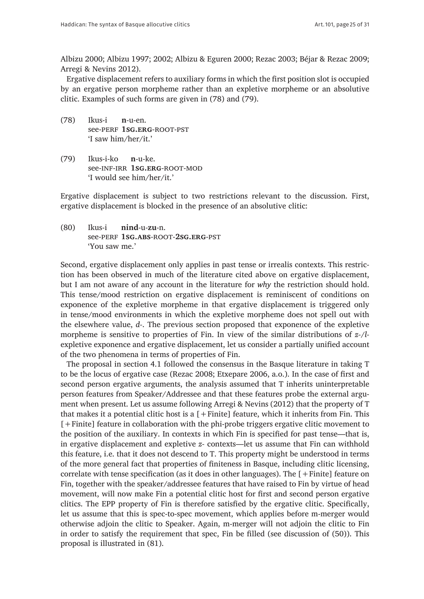Albizu 2000; Albizu 1997; 2002; Albizu & Eguren 2000; Rezac 2003; Béjar & Rezac 2009; Arregi & Nevins 2012).

Ergative displacement refers to auxiliary forms in which the first position slot is occupied by an ergative person morpheme rather than an expletive morpheme or an absolutive clitic. Examples of such forms are given in (78) and (79).

- (78) Ikus-i **n**-u-en. see-perf **1sg.erg**-root-pst 'I saw him/her/it.'
- (79) Ikus-i-ko **n**-u-ke. see-inf-irr **1sg.erg**-root-mod 'I would see him/her/it.'

Ergative displacement is subject to two restrictions relevant to the discussion. First, ergative displacement is blocked in the presence of an absolutive clitic:

(80) Ikus-i **nind**-u-**zu**-n. see-perf **1sg.abs**-root-**2sg.erg**-pst 'You saw me.'

Second, ergative displacement only applies in past tense or irrealis contexts. This restriction has been observed in much of the literature cited above on ergative displacement, but I am not aware of any account in the literature for *why* the restriction should hold. This tense/mood restriction on ergative displacement is reminiscent of conditions on exponence of the expletive morpheme in that ergative displacement is triggered only in tense/mood environments in which the expletive morpheme does not spell out with the elsewhere value, *d-*. The previous section proposed that exponence of the expletive morpheme is sensitive to properties of Fin. In view of the similar distributions of *z-*/*l*expletive exponence and ergative displacement, let us consider a partially unified account of the two phenomena in terms of properties of Fin.

The proposal in section 4.1 followed the consensus in the Basque literature in taking T to be the locus of ergative case (Rezac 2008; Etxepare 2006, a.o.). In the case of first and second person ergative arguments, the analysis assumed that T inherits uninterpretable person features from Speaker/Addressee and that these features probe the external argument when present. Let us assume following Arregi & Nevins (2012) that the property of T that makes it a potential clitic host is a  $[+Finite]$  feature, which it inherits from Fin. This [+Finite] feature in collaboration with the phi-probe triggers ergative clitic movement to the position of the auxiliary. In contexts in which Fin is specified for past tense—that is, in ergative displacement and expletive *z-* contexts—let us assume that Fin can withhold this feature, i.e. that it does not descend to T. This property might be understood in terms of the more general fact that properties of finiteness in Basque, including clitic licensing, correlate with tense specification (as it does in other languages). The  $[+F\text{inite}]$  feature on Fin, together with the speaker/addressee features that have raised to Fin by virtue of head movement, will now make Fin a potential clitic host for first and second person ergative clitics. The EPP property of Fin is therefore satisfied by the ergative clitic. Specifically, let us assume that this is spec-to-spec movement, which applies before m-merger would otherwise adjoin the clitic to Speaker. Again, m-merger will not adjoin the clitic to Fin in order to satisfy the requirement that spec, Fin be filled (see discussion of (50)). This proposal is illustrated in (81).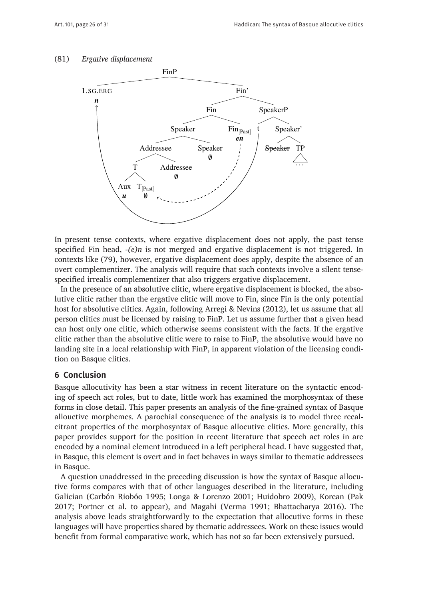#### (81) *Ergative displacement*



In present tense contexts, where ergative displacement does not apply, the past tense specified Fin head, *-(e)n* is not merged and ergative displacement is not triggered. In contexts like (79), however, ergative displacement does apply, despite the absence of an overt complementizer. The analysis will require that such contexts involve a silent tensespecified irrealis complementizer that also triggers ergative displacement.

In the presence of an absolutive clitic, where ergative displacement is blocked, the absolutive clitic rather than the ergative clitic will move to Fin, since Fin is the only potential host for absolutive clitics. Again, following Arregi & Nevins (2012), let us assume that all person clitics must be licensed by raising to FinP. Let us assume further that a given head can host only one clitic, which otherwise seems consistent with the facts. If the ergative clitic rather than the absolutive clitic were to raise to FinP, the absolutive would have no landing site in a local relationship with FinP, in apparent violation of the licensing condition on Basque clitics.

### **6 Conclusion**

Basque allocutivity has been a star witness in recent literature on the syntactic encoding of speech act roles, but to date, little work has examined the morphosyntax of these forms in close detail. This paper presents an analysis of the fine-grained syntax of Basque allouctive morphemes. A parochial consequence of the analysis is to model three recalcitrant properties of the morphosyntax of Basque allocutive clitics. More generally, this paper provides support for the position in recent literature that speech act roles in are encoded by a nominal element introduced in a left peripheral head. I have suggested that, in Basque, this element is overt and in fact behaves in ways similar to thematic addressees in Basque.

A question unaddressed in the preceding discussion is how the syntax of Basque allocutive forms compares with that of other languages described in the literature, including Galician (Carbón Riobóo 1995; Longa & Lorenzo 2001; Huidobro 2009), Korean (Pak 2017; Portner et al. to appear), and Magahi (Verma 1991; Bhattacharya 2016). The analysis above leads straightforwardly to the expectation that allocutive forms in these languages will have properties shared by thematic addressees. Work on these issues would benefit from formal comparative work, which has not so far been extensively pursued.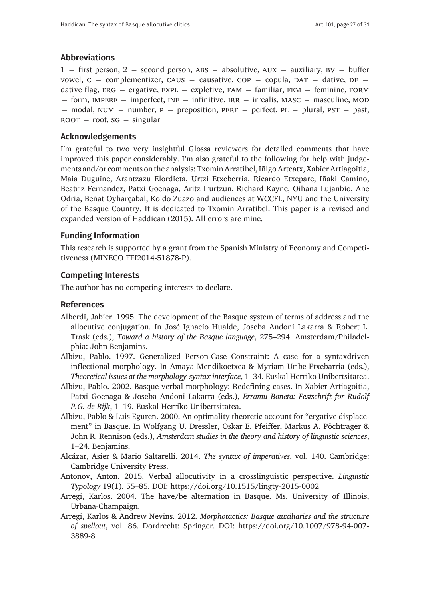## **Abbreviations**

 $1 =$  first person,  $2 =$  second person,  $\text{ABS} =$  absolutive,  $\text{AUX} =$  auxiliary,  $\text{BV} =$  buffer vowel,  $c =$  complementizer, CAUS = causative, COP = copula, DAT = dative, DF = dative flag,  $ERG = ergative$ ,  $EXPL = expletive$ ,  $FAM = familiar$ ,  $FEM = ferminine$ ,  $FORM$  $=$  form, IMPERF  $=$  imperfect, INF  $=$  infinitive, IRR  $=$  irrealis, MASC  $=$  masculine, MOD  $=$  modal, NUM  $=$  number,  $p =$  preposition, PERF  $=$  perfect, PL  $=$  plural, PST  $=$  past,  $\text{ROOT} = \text{root}, \text{SG} = \text{singular}$ 

#### **Acknowledgements**

I'm grateful to two very insightful Glossa reviewers for detailed comments that have improved this paper considerably. I'm also grateful to the following for help with judgements and/or comments on the analysis: Txomin Arratibel, Iñigo Arteatx, Xabier Artiagoitia, Maia Duguine, Arantzazu Elordieta, Urtzi Etxeberria, Ricardo Etxepare, Iñaki Camino, Beatriz Fernandez, Patxi Goenaga, Aritz Irurtzun, Richard Kayne, Oihana Lujanbio, Ane Odria, Beñat Oyharçabal, Koldo Zuazo and audiences at WCCFL, NYU and the University of the Basque Country. It is dedicated to Txomin Arratibel. This paper is a revised and expanded version of Haddican (2015). All errors are mine.

#### **Funding Information**

This research is supported by a grant from the Spanish Ministry of Economy and Competitiveness (MINECO FFI2014-51878-P).

#### **Competing Interests**

The author has no competing interests to declare.

#### **References**

- Alberdi, Jabier. 1995. The development of the Basque system of terms of address and the allocutive conjugation. In José Ignacio Hualde, Joseba Andoni Lakarra & Robert L. Trask (eds.), *Toward a history of the Basque language*, 275–294. Amsterdam/Philadelphia: John Benjamins.
- Albizu, Pablo. 1997. Generalized Person-Case Constraint: A case for a syntaxdriven inflectional morphology. In Amaya Mendikoetxea & Myriam Uribe-Etxebarria (eds.), *Theoretical issues at the morphology-syntax interface*, 1–34. Euskal Herriko Unibertsitatea.
- Albizu, Pablo. 2002. Basque verbal morphology: Redefining cases. In Xabier Artiagoitia, Patxi Goenaga & Joseba Andoni Lakarra (eds.), *Erramu Boneta: Festschrift for Rudolf P.G. de Rijk*, 1–19. Euskal Herriko Unibertsitatea.
- Albizu, Pablo & Luis Eguren. 2000. An optimality theoretic account for "ergative displacement" in Basque. In Wolfgang U. Dressler, Oskar E. Pfeiffer, Markus A. Pöchtrager & John R. Rennison (eds.), *Amsterdam studies in the theory and history of linguistic sciences*, 1–24. Benjamins.
- Alcázar, Asier & Mario Saltarelli. 2014. *The syntax of imperatives*, vol. 140. Cambridge: Cambridge University Press.
- Antonov, Anton. 2015. Verbal allocutivity in a crosslinguistic perspective. *Linguistic Typology* 19(1). 55–85. DOI:<https://doi.org/10.1515/lingty-2015-0002>
- Arregi, Karlos. 2004. The have/be alternation in Basque. Ms. University of Illinois, Urbana-Champaign.
- Arregi, Karlos & Andrew Nevins. 2012. *Morphotactics: Basque auxiliaries and the structure of spellout*, vol. 86. Dordrecht: Springer. DOI: [https://doi.org/10.1007/978-94-007-](https://doi.org/10.1007/978-94-007-3889-8) [3889-8](https://doi.org/10.1007/978-94-007-3889-8)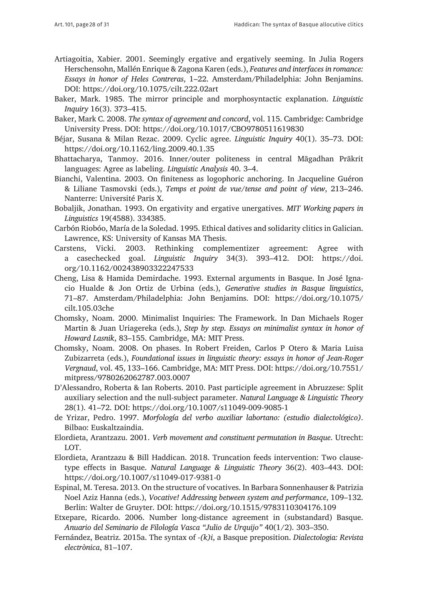- Artiagoitia, Xabier. 2001. Seemingly ergative and ergatively seeming. In Julia Rogers Herschensohn, Mallén Enrique & Zagona Karen (eds.), *Features and interfaces in romance: Essays in honor of Heles Contreras*, 1–22. Amsterdam/Philadelphia: John Benjamins. DOI:<https://doi.org/10.1075/cilt.222.02art>
- Baker, Mark. 1985. The mirror principle and morphosyntactic explanation. *Linguistic Inquiry* 16(3). 373–415.
- Baker, Mark C. 2008. *The syntax of agreement and concord*, vol. 115. Cambridge: Cambridge University Press. DOI: <https://doi.org/10.1017/CBO9780511619830>
- Béjar, Susana & Milan Rezac. 2009. Cyclic agree. *Linguistic Inquiry* 40(1). 35–73. DOI: <https://doi.org/10.1162/ling.2009.40.1.35>
- Bhattacharya, Tanmoy. 2016. Inner/outer politeness in central Māgadhan Prākrit languages: Agree as labeling. *Linguistic Analysis* 40. 3–4.
- Bianchi, Valentina. 2003. On finiteness as logophoric anchoring. In Jacqueline Guéron & Liliane Tasmovski (eds.), *Temps et point de vue/tense and point of view*, 213–246. Nanterre: Université Paris X.
- Bobaljik, Jonathan. 1993. On ergativity and ergative unergatives. *MIT Working papers in Linguistics* 19(4588). 334385.
- Carbón Riobóo, María de la Soledad. 1995. Ethical datives and solidarity clitics in Galician. Lawrence, KS: University of Kansas MA Thesis.
- Carstens, Vicki. 2003. Rethinking complementizer agreement: Agree with a casechecked goal. *Linguistic Inquiry* 34(3). 393–412. DOI: [https://doi.](https://doi.org/10.1162/002438903322247533) [org/10.1162/002438903322247533](https://doi.org/10.1162/002438903322247533)
- Cheng, Lisa & Hamida Demirdache. 1993. External arguments in Basque. In José Ignacio Hualde & Jon Ortiz de Urbina (eds.), *Generative studies in Basque linguistics*, 71–87. Amsterdam/Philadelphia: John Benjamins. DOI: [https://doi.org/10.1075/](https://doi.org/10.1075/cilt.105.03che) [cilt.105.03che](https://doi.org/10.1075/cilt.105.03che)
- Chomsky, Noam. 2000. Minimalist Inquiries: The Framework. In Dan Michaels Roger Martin & Juan Uriagereka (eds.), *Step by step. Essays on minimalist syntax in honor of Howard Lasnik*, 83–155. Cambridge, MA: MIT Press.
- Chomsky, Noam. 2008. On phases. In Robert Freiden, Carlos P Otero & Maria Luisa Zubizarreta (eds.), *Foundational issues in linguistic theory: essays in honor of Jean-Roger Vergnaud*, vol. 45, 133–166. Cambridge, MA: MIT Press. DOI: [https://doi.org/10.7551/](https://doi.org/10.7551/mitpress/9780262062787.003.0007) [mitpress/9780262062787.003.0007](https://doi.org/10.7551/mitpress/9780262062787.003.0007)
- D'Alessandro, Roberta & Ian Roberts. 2010. Past participle agreement in Abruzzese: Split auxiliary selection and the null-subject parameter. *Natural Language & Linguistic Theory*  28(1). 41–72. DOI:<https://doi.org/10.1007/s11049-009-9085-1>
- de Yrizar, Pedro. 1997. *Morfología del verbo auxiliar labortano: (estudio dialectológico)*. Bilbao: Euskaltzaindia.
- Elordieta, Arantzazu. 2001. *Verb movement and constituent permutation in Basque*. Utrecht: LOT.
- Elordieta, Arantzazu & Bill Haddican. 2018. Truncation feeds intervention: Two clausetype effects in Basque. *Natural Language & Linguistic Theory* 36(2). 403–443. DOI: <https://doi.org/10.1007/s11049-017-9381-0>
- Espinal, M. Teresa. 2013. On the structure of vocatives. In Barbara Sonnenhauser & Patrizia Noel Aziz Hanna (eds.), *Vocative! Addressing between system and performance*, 109–132. Berlin: Walter de Gruyter. DOI:<https://doi.org/10.1515/9783110304176.109>
- Etxepare, Ricardo. 2006. Number long-distance agreement in (substandard) Basque. *Anuario del Seminario de Filología Vasca "Julio de Urquijo"* 40(1/2). 303–350.
- Fernández, Beatriz. 2015a. The syntax of *-(k)i*, a Basque preposition. *Dialectologia: Revista electrònica*, 81–107.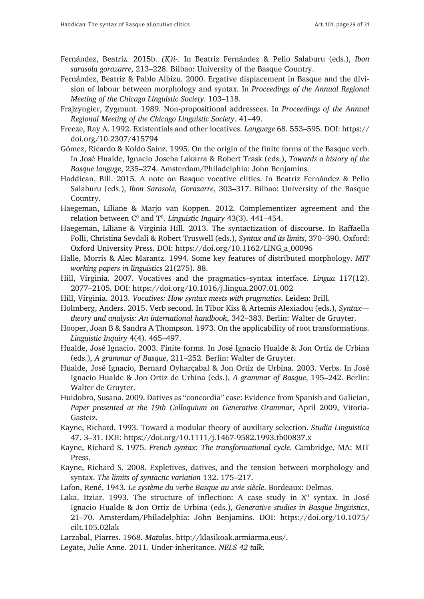- Fernández, Beatriz. 2015b. *(K)i-*. In Beatriz Fernández & Pello Salaburu (eds.), *Ibon sarasola gorazarre*, 213–228. Bilbao: University of the Basque Country.
- Fernández, Beatriz & Pablo Albizu. 2000. Ergative displacement in Basque and the division of labour between morphology and syntax. In *Proceedings of the Annual Regional Meeting of the Chicago Linguistic Society*. 103–118.
- Frajzyngier, Zygmunt. 1989. Non-propositional addressees. In *Proceedings of the Annual Regional Meeting of the Chicago Linguistic Society*. 41–49.
- Freeze, Ray A. 1992. Existentials and other locatives. *Language* 68. 553–595. DOI: [https://](https://doi.org/10.2307/415794) [doi.org/10.2307/415794](https://doi.org/10.2307/415794)
- Gómez, Ricardo & Koldo Sainz. 1995. On the origin of the finite forms of the Basque verb. In José Hualde, Ignacio Joseba Lakarra & Robert Trask (eds.), *Towards a history of the Basque languge*, 235–274. Amsterdam/Philadelphia: John Benjamins.
- Haddican, Bill. 2015. A note on Basque vocative clitics. In Beatriz Fernández & Pello Salaburu (eds.), *Ibon Sarasola, Gorazarre*, 303–317. Bilbao: University of the Basque Country.
- Haegeman, Liliane & Marjo van Koppen. 2012. Complementizer agreement and the relation between C0 and T0 . *Linguistic Inquiry* 43(3). 441–454.
- Haegeman, Liliane & Virginia Hill. 2013. The syntactization of discourse. In Raffaella Folli, Christina Sevdali & Robert Truswell (eds.), *Syntax and its limits*, 370–390. Oxford: Oxford University Press. DOI: [https://doi.org/10.1162/LING\\_a\\_00096](https://doi.org/10.1162/LING_a_00096)
- Halle, Morris & Alec Marantz. 1994. Some key features of distributed morphology. *MIT working papers in linguistics* 21(275). 88.
- Hill, Virginia. 2007. Vocatives and the pragmatics–syntax interface. *Lingua* 117(12). 2077–2105. DOI:<https://doi.org/10.1016/j.lingua.2007.01.002>
- Hill, Virginia. 2013. *Vocatives: How syntax meets with pragmatics*. Leiden: Brill.
- Holmberg, Anders. 2015. Verb second. In Tibor Kiss & Artemis Alexiadou (eds.), *Syntax theory and analysis: An international handbook*, 342–383. Berlin: Walter de Gruyter.
- Hooper, Joan B & Sandra A Thompson. 1973. On the applicability of root transformations. *Linguistic Inquiry* 4(4). 465–497.
- Hualde, José Ignacio. 2003. Finite forms. In José Ignacio Hualde & Jon Ortiz de Urbina (eds.), *A grammar of Basque*, 211–252. Berlin: Walter de Gruyter.
- Hualde, José Ignacio, Bernard Oyharçabal & Jon Ortiz de Urbina. 2003. Verbs. In José Ignacio Hualde & Jon Ortiz de Urbina (eds.), *A grammar of Basque*, 195–242. Berlin: Walter de Gruyter.
- Huidobro, Susana. 2009. Datives as "concordia" case: Evidence from Spanish and Galician, *Paper presented at the 19th Colloquium on Generative Grammar*, April 2009, Vitoria-Gasteiz.
- Kayne, Richard. 1993. Toward a modular theory of auxiliary selection. *Studia Linguistica*  47. 3–31. DOI: <https://doi.org/10.1111/j.1467-9582.1993.tb00837.x>
- Kayne, Richard S. 1975. *French syntax: The transformational cycle*. Cambridge, MA: MIT Press.
- Kayne, Richard S. 2008. Expletives, datives, and the tension between morphology and syntax. *The limits of syntactic variation* 132. 175–217.
- Lafon, René. 1943. *Le système du verbe Basque au xvie siècle*. Bordeaux: Delmas.
- Laka, Itziar. 1993. The structure of inflection: A case study in  $X^0$  syntax. In José Ignacio Hualde & Jon Ortiz de Urbina (eds.), *Generative studies in Basque linguistics*, 21–70. Amsterdam/Philadelphia: John Benjamins. DOI: [https://doi.org/10.1075/](https://doi.org/10.1075/cilt.105.02lak) [cilt.105.02lak](https://doi.org/10.1075/cilt.105.02lak)
- Larzabal, Piarres. 1968. *Matalas*. [http://klasikoak.armiarma.eus/.](http://klasikoak.armiarma.eus/)
- Legate, Julie Anne. 2011. Under-inheritance. *NELS 42 talk*.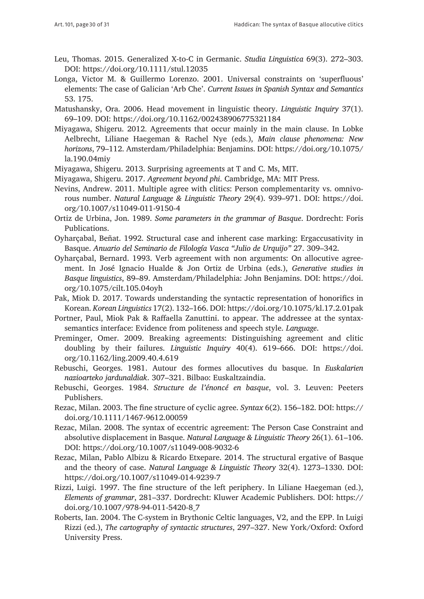- Leu, Thomas. 2015. Generalized X-to-C in Germanic. *Studia Linguistica* 69(3). 272–303. DOI:<https://doi.org/10.1111/stul.12035>
- Longa, Victor M. & Guillermo Lorenzo. 2001. Universal constraints on 'superfluous' elements: The case of Galician 'Arb Che'. *Current Issues in Spanish Syntax and Semantics*  53. 175.
- Matushansky, Ora. 2006. Head movement in linguistic theory. *Linguistic Inquiry* 37(1). 69–109. DOI:<https://doi.org/10.1162/002438906775321184>
- Miyagawa, Shigeru. 2012. Agreements that occur mainly in the main clause. In Lobke Aelbrecht, Liliane Haegeman & Rachel Nye (eds.), *Main clause phenomena: New horizons*, 79–112. Amsterdam/Philadelphia: Benjamins. DOI: [https://doi.org/10.1075/](https://doi.org/10.1075/la.190.04miy) [la.190.04miy](https://doi.org/10.1075/la.190.04miy)
- Miyagawa, Shigeru. 2013. Surprising agreements at T and C. Ms, MIT.
- Miyagawa, Shigeru. 2017. *Agreement beyond phi*. Cambridge, MA: MIT Press.
- Nevins, Andrew. 2011. Multiple agree with clitics: Person complementarity vs. omnivorous number. *Natural Language & Linguistic Theory* 29(4). 939–971. DOI: [https://doi.](https://doi.org/10.1007/s11049-011-9150-4 ) [org/10.1007/s11049-011-9150-4](https://doi.org/10.1007/s11049-011-9150-4 )
- Ortiz de Urbina, Jon. 1989. *Some parameters in the grammar of Basque*. Dordrecht: Foris Publications.
- Oyharçabal, Beñat. 1992. Structural case and inherent case marking: Ergaccusativity in Basque. *Anuario del Seminario de Filología Vasca "Julio de Urquijo"* 27. 309–342.
- Oyharçabal, Bernard. 1993. Verb agreement with non arguments: On allocutive agreement. In José Ignacio Hualde & Jon Ortiz de Urbina (eds.), *Generative studies in Basque linguistics*, 89–89. Amsterdam/Philadelphia: John Benjamins. DOI: [https://doi.](https://doi.org/10.1075/cilt.105.04oyh) [org/10.1075/cilt.105.04oyh](https://doi.org/10.1075/cilt.105.04oyh)
- Pak, Miok D. 2017. Towards understanding the syntactic representation of honorifics in Korean. *Korean Linguistics* 17(2). 132–166. DOI:<https://doi.org/10.1075/kl.17.2.01pak>
- Portner, Paul, Miok Pak & Raffaella Zanuttini. to appear. The addressee at the syntaxsemantics interface: Evidence from politeness and speech style. *Language*.
- Preminger, Omer. 2009. Breaking agreements: Distinguishing agreement and clitic doubling by their failures. *Linguistic Inquiry* 40(4). 619–666. DOI: [https://doi.](https://doi.org/10.1162/ling.2009.40.4.619) [org/10.1162/ling.2009.40.4.619](https://doi.org/10.1162/ling.2009.40.4.619)
- Rebuschi, Georges. 1981. Autour des formes allocutives du basque. In *Euskalarien nazioarteko jardunaldiak*. 307–321. Bilbao: Euskaltzaindia.
- Rebuschi, Georges. 1984. *Structure de l'énoncé en basque*, vol. 3. Leuven: Peeters Publishers.
- Rezac, Milan. 2003. The fine structure of cyclic agree. *Syntax* 6(2). 156–182. DOI: [https://](https://doi.org/10.1111/1467-9612.00059) [doi.org/10.1111/1467-9612.00059](https://doi.org/10.1111/1467-9612.00059)
- Rezac, Milan. 2008. The syntax of eccentric agreement: The Person Case Constraint and absolutive displacement in Basque. *Natural Language & Linguistic Theory* 26(1). 61–106. DOI:<https://doi.org/10.1007/s11049-008-9032-6>
- Rezac, Milan, Pablo Albizu & Ricardo Etxepare. 2014. The structural ergative of Basque and the theory of case. *Natural Language & Linguistic Theory* 32(4). 1273–1330. DOI: <https://doi.org/10.1007/s11049-014-9239-7>
- Rizzi, Luigi. 1997. The fine structure of the left periphery. In Liliane Haegeman (ed.), *Elements of grammar*, 281–337. Dordrecht: Kluwer Academic Publishers. DOI: [https://](https://doi.org/10.1007/978-94-011-5420-8_7) [doi.org/10.1007/978-94-011-5420-8\\_7](https://doi.org/10.1007/978-94-011-5420-8_7)
- Roberts, Ian. 2004. The C-system in Brythonic Celtic languages, V2, and the EPP. In Luigi Rizzi (ed.), *The cartography of syntactic structures*, 297–327. New York/Oxford: Oxford University Press.